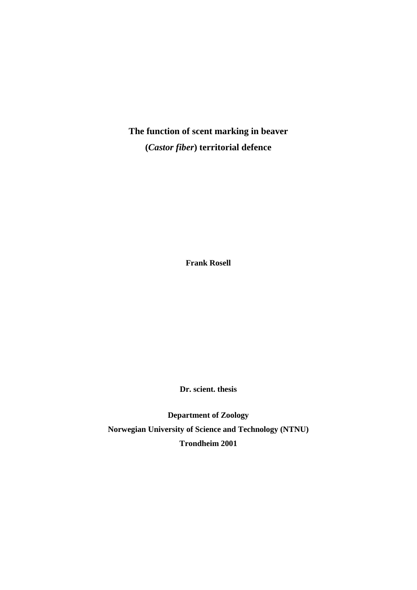**The function of scent marking in beaver (***Castor fiber***) territorial defence**

**Frank Rosell**

**Dr. scient. thesis**

**Department of Zoology Norwegian University of Science and Technology (NTNU) Trondheim 2001**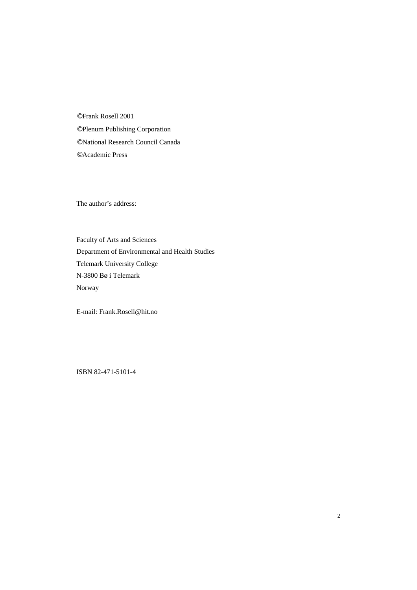© Frank Rosell 2001

- © Plenum Publishing Corporation
- © National Research Council Canada
- © Academic Press

The author's address:

Faculty of Arts and Sciences Department of Environmental and Health Studies Telemark University College N-3800 Bø i Telemark Norway

E-mail: Frank.Rosell@hit.no

ISBN 82-471-5101-4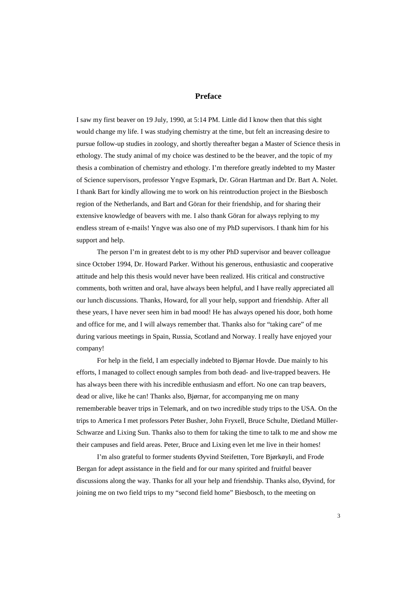## **Preface**

I saw my first beaver on 19 July, 1990, at 5:14 PM. Little did I know then that this sight would change my life. I was studying chemistry at the time, but felt an increasing desire to pursue follow-up studies in zoology, and shortly thereafter began a Master of Science thesis in ethology. The study animal of my choice was destined to be the beaver, and the topic of my thesis a combination of chemistry and ethology. I'm therefore greatly indebted to my Master of Science supervisors, professor Yngve Espmark, Dr. Göran Hartman and Dr. Bart A. Nolet. I thank Bart for kindly allowing me to work on his reintroduction project in the Biesbosch region of the Netherlands, and Bart and Göran for their friendship, and for sharing their extensive knowledge of beavers with me. I also thank Göran for always replying to my endless stream of e-mails! Yngve was also one of my PhD supervisors. I thank him for his support and help.

The person I'm in greatest debt to is my other PhD supervisor and beaver colleague since October 1994, Dr. Howard Parker. Without his generous, enthusiastic and cooperative attitude and help this thesis would never have been realized. His critical and constructive comments, both written and oral, have always been helpful, and I have really appreciated all our lunch discussions. Thanks, Howard, for all your help, support and friendship. After all these years, I have never seen him in bad mood! He has always opened his door, both home and office for me, and I will always remember that. Thanks also for "taking care" of me during various meetings in Spain, Russia, Scotland and Norway. I really have enjoyed your company!

For help in the field, I am especially indebted to Bjørnar Hovde. Due mainly to his efforts, I managed to collect enough samples from both dead- and live-trapped beavers. He has always been there with his incredible enthusiasm and effort. No one can trap beavers, dead or alive, like he can! Thanks also, Bjørnar, for accompanying me on many rememberable beaver trips in Telemark, and on two incredible study trips to the USA. On the trips to America I met professors Peter Busher, John Fryxell, Bruce Schulte, Dietland Müller-Schwarze and Lixing Sun. Thanks also to them for taking the time to talk to me and show me their campuses and field areas. Peter, Bruce and Lixing even let me live in their homes!

I'm also grateful to former students Øyvind Steifetten, Tore Bjørkøyli, and Frode Bergan for adept assistance in the field and for our many spirited and fruitful beaver discussions along the way. Thanks for all your help and friendship. Thanks also, Øyvind, for joining me on two field trips to my "second field home" Biesbosch, to the meeting on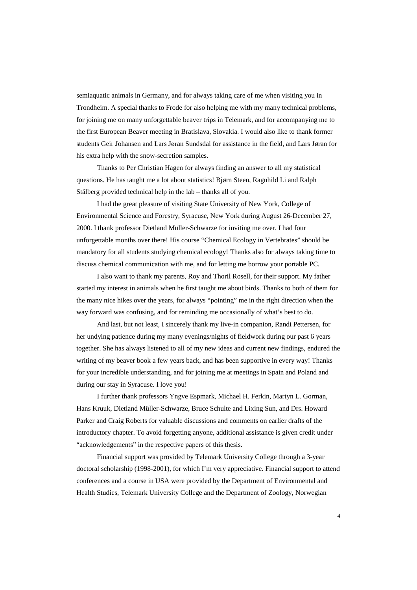semiaquatic animals in Germany, and for always taking care of me when visiting you in Trondheim. A special thanks to Frode for also helping me with my many technical problems, for joining me on many unforgettable beaver trips in Telemark, and for accompanying me to the first European Beaver meeting in Bratislava, Slovakia. I would also like to thank former students Geir Johansen and Lars Jøran Sundsdal for assistance in the field, and Lars Jøran for his extra help with the snow-secretion samples.

Thanks to Per Christian Hagen for always finding an answer to all my statistical questions. He has taught me a lot about statistics! Bjørn Steen, Ragnhild Li and Ralph Stålberg provided technical help in the lab – thanks all of you.

I had the great pleasure of visiting State University of New York, College of Environmental Science and Forestry, Syracuse, New York during August 26-December 27, 2000. I thank professor Dietland Müller-Schwarze for inviting me over. I had four unforgettable months over there! His course "Chemical Ecology in Vertebrates" should be mandatory for all students studying chemical ecology! Thanks also for always taking time to discuss chemical communication with me, and for letting me borrow your portable PC.

I also want to thank my parents, Roy and Thoril Rosell, for their support. My father started my interest in animals when he first taught me about birds. Thanks to both of them for the many nice hikes over the years, for always "pointing" me in the right direction when the way forward was confusing, and for reminding me occasionally of what's best to do.

And last, but not least, I sincerely thank my live-in companion, Randi Pettersen, for her undying patience during my many evenings/nights of fieldwork during our past 6 years together. She has always listened to all of my new ideas and current new findings, endured the writing of my beaver book a few years back, and has been supportive in every way! Thanks for your incredible understanding, and for joining me at meetings in Spain and Poland and during our stay in Syracuse. I love you!

I further thank professors Yngve Espmark, Michael H. Ferkin, Martyn L. Gorman, Hans Kruuk, Dietland Müller-Schwarze, Bruce Schulte and Lixing Sun, and Drs. Howard Parker and Craig Roberts for valuable discussions and comments on earlier drafts of the introductory chapter. To avoid forgetting anyone, additional assistance is given credit under "acknowledgements" in the respective papers of this thesis.

Financial support was provided by Telemark University College through a 3-year doctoral scholarship (1998-2001), for which I'm very appreciative. Financial support to attend conferences and a course in USA were provided by the Department of Environmental and Health Studies, Telemark University College and the Department of Zoology, Norwegian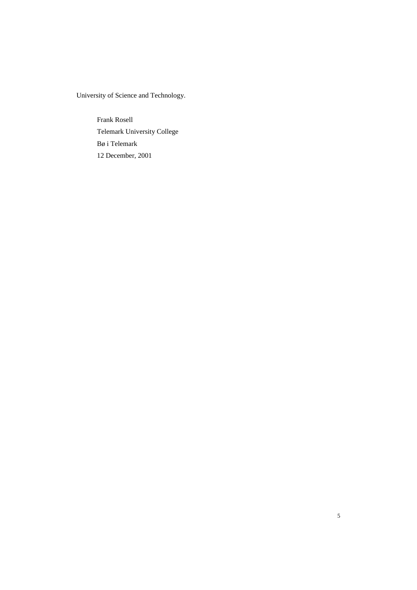University of Science and Technology.

Frank Rosell Telemark University College Bø i Telemark 12 December, 2001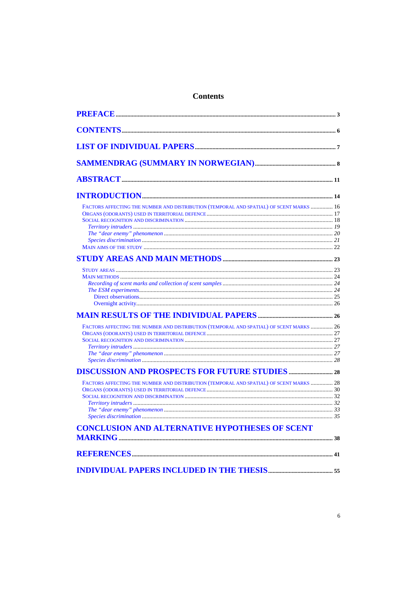# **Contents**

| FACTORS AFFECTING THE NUMBER AND DISTRIBUTION (TEMPORAL AND SPATIAL) OF SCENT MARKS  16 |  |
|-----------------------------------------------------------------------------------------|--|
|                                                                                         |  |
|                                                                                         |  |
|                                                                                         |  |
|                                                                                         |  |
| FACTORS AFFECTING THE NUMBER AND DISTRIBUTION (TEMPORAL AND SPATIAL) OF SCENT MARKS  26 |  |
|                                                                                         |  |
| FACTORS AFFECTING THE NUMBER AND DISTRIBUTION (TEMPORAL AND SPATIAL) OF SCENT MARKS  28 |  |
| <b>CONCLUSION AND ALTERNATIVE HYPOTHESES OF SCENT</b>                                   |  |
|                                                                                         |  |
|                                                                                         |  |
|                                                                                         |  |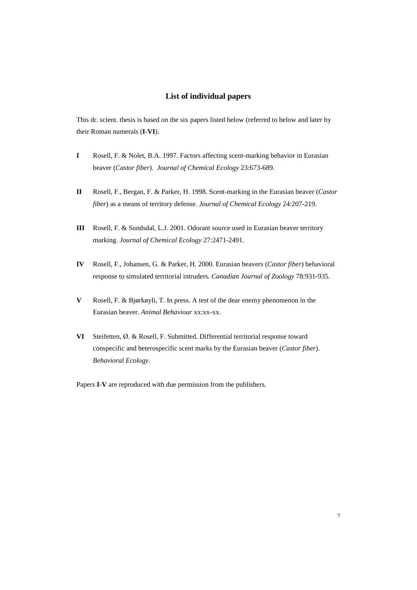## **List of individual papers**

This dr. scient. thesis is based on the six papers listed below (referred to below and later by their Roman numerals (**I**-**VI**).

- **I** Rosell, F. & Nolet, B.A. 1997. Factors affecting scent-marking behavior in Eurasian beaver (*Castor fiber*). *Journal of Chemical Ecology* 23:673-689.
- **II** Rosell, F., Bergan, F. & Parker, H. 1998. Scent-marking in the Eurasian beaver (*Castor fiber*) as a means of territory defense. *Journal of Chemical Ecology* 24:207-219.
- **III** Rosell, F. & Sundsdal, L.J. 2001. Odorant source used in Eurasian beaver territory marking. *Journal of Chemical Ecology* 27:2471-2491.
- **IV** Rosell, F., Johansen, G. & Parker, H. 2000. Eurasian beavers (*Castor fiber*) behavioral response to simulated territorial intruders. *Canadian Journal of Zoology* 78:931-935.
- **V** Rosell, F. & Bjørkøyli, T. In press. A test of the dear enemy phenomenon in the Eurasian beaver. *Animal Behaviour* xx:xx-xx.
- **VI** Steifetten, Ø. & Rosell, F. Submitted. Differential territorial response toward conspecific and heterospecific scent marks by the Eurasian beaver (*Castor fiber*). *Behavioral Ecology*.

Papers **I**-**V** are reproduced with due permission from the publishers.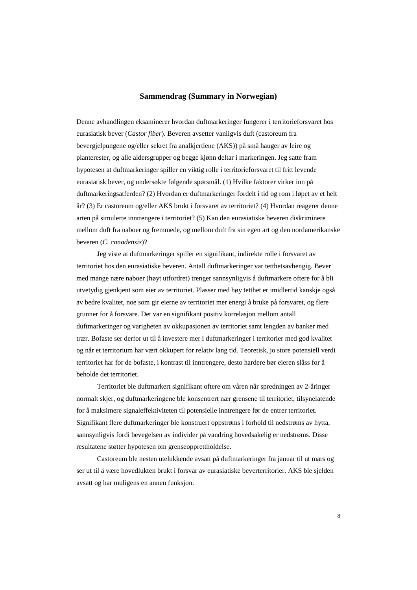## **Sammendrag (Summary in Norwegian)**

Denne avhandlingen eksaminerer hvordan duftmarkeringer fungerer i territorieforsvaret hos eurasiatisk bever (*Castor fiber*). Beveren avsetter vanligvis duft (castoreum fra bevergjelpungene og/eller sekret fra analkjertlene (AKS)) på små hauger av leire og planterester, og alle aldersgrupper og begge kjønn deltar i markeringen. Jeg satte fram hypotesen at duftmarkeringer spiller en viktig rolle i territorieforsvaret til fritt levende eurasiatisk bever, og undersøkte følgende spørsmål. (1) Hvilke faktorer virker inn på duftmarkeringsatferden? (2) Hvordan er duftmarkeringer fordelt i tid og rom i løpet av et helt år? (3) Er castoreum og/eller AKS brukt i forsvaret av territoriet? (4) Hvordan reagerer denne arten på simulerte inntrengere i territoriet? (5) Kan den eurasiatiske beveren diskriminere mellom duft fra naboer og fremmede, og mellom duft fra sin egen art og den nordamerikanske beveren (*C. canadensis*)?

Jeg viste at duftmarkeringer spiller en signifikant, indirekte rolle i forsvaret av territoriet hos den eurasiatiske beveren. Antall duftmarkeringer var tetthetsavhengig. Bever med mange nære naboer (høyt utfordret) trenger sannsynligvis å duftmarkere oftere for å bli utvetydig gjenkjent som eier av territoriet. Plasser med høy tetthet er imidlertid kanskje også av bedre kvalitet, noe som gir eierne av territoriet mer energi å bruke på forsvaret, og flere grunner for å forsvare. Det var en signifikant positiv korrelasjon mellom antall duftmarkeringer og varigheten av okkupasjonen av territoriet samt lengden av banker med trær. Bofaste ser derfor ut til å investere mer i duftmarkeringer i territorier med god kvalitet og når et territorium har vært okkupert for relativ lang tid. Teoretisk, jo store potensiell verdi territoriet har for de bofaste, i kontrast til inntrengere, desto hardere bør eieren slåss for å beholde det territoriet.

Territoriet ble duftmarkert signifikant oftere om våren når spredningen av 2-åringer normalt skjer, og duftmarkeringene ble konsentrert nær grensene til territoriet, tilsynelatende for å maksimere signaleffektiviteten til potensielle inntrengere før de entrer territoriet. Signifikant flere duftmarkeringer ble konstruert oppstrøms i forhold til nedstrøms av hytta, sannsynligvis fordi bevegelsen av individer på vandring hovedsakelig er nedstrøms. Disse resultatene støtter hypotesen om grenseopprettholdelse.

Castoreum ble nesten utelukkende avsatt på duftmarkeringer fra januar til ut mars og ser ut til å være hovedlukten brukt i forsvar av eurasiatiske beverterritorier. AKS ble sjelden avsatt og har muligens en annen funksjon.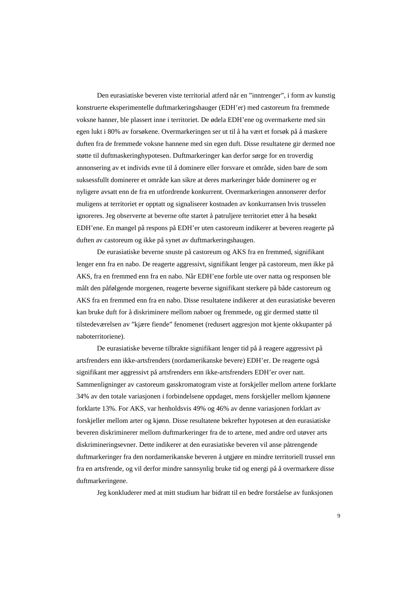Den eurasiatiske beveren viste territorial atferd når en "inntrenger", i form av kunstig konstruerte eksperimentelle duftmarkeringshauger (EDH'er) med castoreum fra fremmede voksne hanner, ble plassert inne i territoriet. De ødela EDH'ene og overmarkerte med sin egen lukt i 80% av forsøkene. Overmarkeringen ser ut til å ha vært et forsøk på å maskere duften fra de fremmede voksne hannene med sin egen duft. Disse resultatene gir dermed noe støtte til duftmaskeringhypotesen. Duftmarkeringer kan derfor sørge for en troverdig annonsering av et individs evne til å dominere eller forsvare et område, siden bare de som suksessfullt dominerer et område kan sikre at deres markeringer både dominerer og er nyligere avsatt enn de fra en utfordrende konkurrent. Overmarkeringen annonserer derfor muligens at territoriet er opptatt og signaliserer kostnaden av konkurransen hvis trusselen ignoreres. Jeg observerte at beverne ofte startet å patruljere territoriet etter å ha besøkt EDH'ene. En mangel på respons på EDH'er uten castoreum indikerer at beveren reagerte på duften av castoreum og ikke på synet av duftmarkeringshaugen.

De eurasiatiske beverne snuste på castoreum og AKS fra en fremmed, signifikant lenger enn fra en nabo. De reagerte aggressivt, signifikant lenger på castoreum, men ikke på AKS, fra en fremmed enn fra en nabo. Når EDH'ene forble ute over natta og responsen ble målt den påfølgende morgenen, reagerte beverne signifikant sterkere på både castoreum og AKS fra en fremmed enn fra en nabo. Disse resultatene indikerer at den eurasiatiske beveren kan bruke duft for å diskriminere mellom naboer og fremmede, og gir dermed støtte til tilstedeværelsen av "kjære fiende" fenomenet (redusert aggresjon mot kjente okkupanter på naboterritoriene).

De eurasiatiske beverne tilbrakte signifikant lenger tid på å reagere aggressivt på artsfrenders enn ikke-artsfrenders (nordamerikanske bevere) EDH'er. De reagerte også signifikant mer aggressivt på artsfrenders enn ikke-artsfrenders EDH'er over natt. Sammenligninger av castoreum gasskromatogram viste at forskjeller mellom artene forklarte 34% av den totale variasjonen i forbindelsene oppdaget, mens forskjeller mellom kjønnene forklarte 13%. For AKS, var henholdsvis 49% og 46% av denne variasjonen forklart av forskjeller mellom arter og kjønn. Disse resultatene bekrefter hypotesen at den eurasiatiske beveren diskriminerer mellom duftmarkeringer fra de to artene, med andre ord utøver arts diskrimineringsevner. Dette indikerer at den eurasiatiske beveren vil anse påtrengende duftmarkeringer fra den nordamerikanske beveren å utgjøre en mindre territoriell trussel enn fra en artsfrende, og vil derfor mindre sannsynlig bruke tid og energi på å overmarkere disse duftmarkeringene.

Jeg konkluderer med at mitt studium har bidratt til en bedre forståelse av funksjonen

9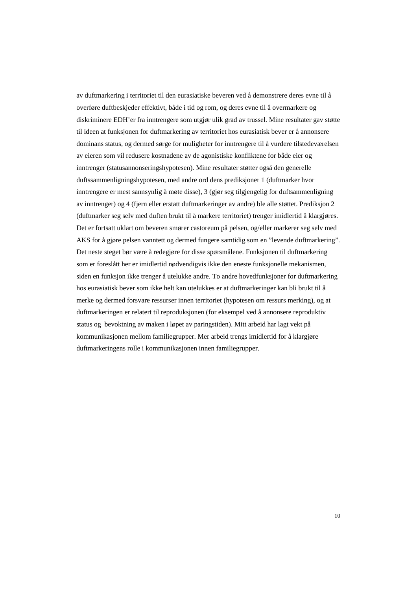av duftmarkering i territoriet til den eurasiatiske beveren ved å demonstrere deres evne til å overføre duftbeskjeder effektivt, både i tid og rom, og deres evne til å overmarkere og diskriminere EDH'er fra inntrengere som utgjør ulik grad av trussel. Mine resultater gav støtte til ideen at funksjonen for duftmarkering av territoriet hos eurasiatisk bever er å annonsere dominans status, og dermed sørge for muligheter for inntrengere til å vurdere tilstedeværelsen av eieren som vil redusere kostnadene av de agonistiske konfliktene for både eier og inntrenger (statusannonseringshypotesen). Mine resultater støtter også den generelle duftssammenligningshypotesen, med andre ord dens prediksjoner 1 (duftmarker hvor inntrengere er mest sannsynlig å møte disse), 3 (gjør seg tilgjengelig for duftsammenligning av inntrenger) og 4 (fjern eller erstatt duftmarkeringer av andre) ble alle støttet. Prediksjon 2 (duftmarker seg selv med duften brukt til å markere territoriet) trenger imidlertid å klargjøres. Det er fortsatt uklart om beveren smører castoreum på pelsen, og/eller markerer seg selv med AKS for å gjøre pelsen vanntett og dermed fungere samtidig som en "levende duftmarkering". Det neste steget bør være å redegjøre for disse spørsmålene. Funksjonen til duftmarkering som er foreslått her er imidlertid nødvendigvis ikke den eneste funksjonelle mekanismen, siden en funksjon ikke trenger å utelukke andre. To andre hovedfunksjoner for duftmarkering hos eurasiatisk bever som ikke helt kan utelukkes er at duftmarkeringer kan bli brukt til å merke og dermed forsvare ressurser innen territoriet (hypotesen om ressurs merking), og at duftmarkeringen er relatert til reproduksjonen (for eksempel ved å annonsere reproduktiv status og bevoktning av maken i løpet av paringstiden). Mitt arbeid har lagt vekt på kommunikasjonen mellom familiegrupper. Mer arbeid trengs imidlertid for å klargjøre duftmarkeringens rolle i kommunikasjonen innen familiegrupper.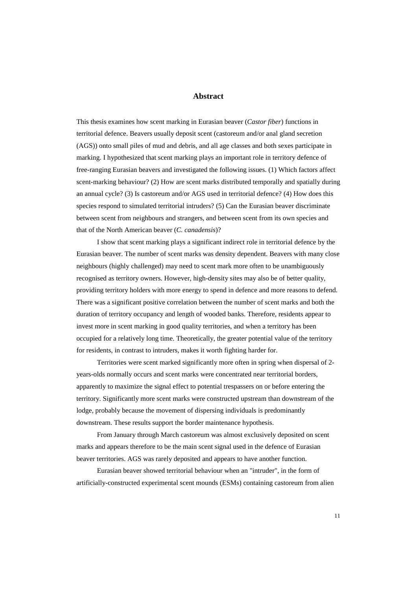## **Abstract**

This thesis examines how scent marking in Eurasian beaver (*Castor fiber*) functions in territorial defence. Beavers usually deposit scent (castoreum and/or anal gland secretion (AGS)) onto small piles of mud and debris, and all age classes and both sexes participate in marking. I hypothesized that scent marking plays an important role in territory defence of free-ranging Eurasian beavers and investigated the following issues. (1) Which factors affect scent-marking behaviour? (2) How are scent marks distributed temporally and spatially during an annual cycle? (3) Is castoreum and/or AGS used in territorial defence? (4) How does this species respond to simulated territorial intruders? (5) Can the Eurasian beaver discriminate between scent from neighbours and strangers, and between scent from its own species and that of the North American beaver (*C. canadensis*)?

I show that scent marking plays a significant indirect role in territorial defence by the Eurasian beaver. The number of scent marks was density dependent. Beavers with many close neighbours (highly challenged) may need to scent mark more often to be unambiguously recognised as territory owners. However, high-density sites may also be of better quality, providing territory holders with more energy to spend in defence and more reasons to defend. There was a significant positive correlation between the number of scent marks and both the duration of territory occupancy and length of wooded banks. Therefore, residents appear to invest more in scent marking in good quality territories, and when a territory has been occupied for a relatively long time. Theoretically, the greater potential value of the territory for residents, in contrast to intruders, makes it worth fighting harder for.

Territories were scent marked significantly more often in spring when dispersal of 2 years-olds normally occurs and scent marks were concentrated near territorial borders, apparently to maximize the signal effect to potential trespassers on or before entering the territory. Significantly more scent marks were constructed upstream than downstream of the lodge, probably because the movement of dispersing individuals is predominantly downstream. These results support the border maintenance hypothesis.

From January through March castoreum was almost exclusively deposited on scent marks and appears therefore to be the main scent signal used in the defence of Eurasian beaver territories. AGS was rarely deposited and appears to have another function.

Eurasian beaver showed territorial behaviour when an "intruder", in the form of artificially-constructed experimental scent mounds (ESMs) containing castoreum from alien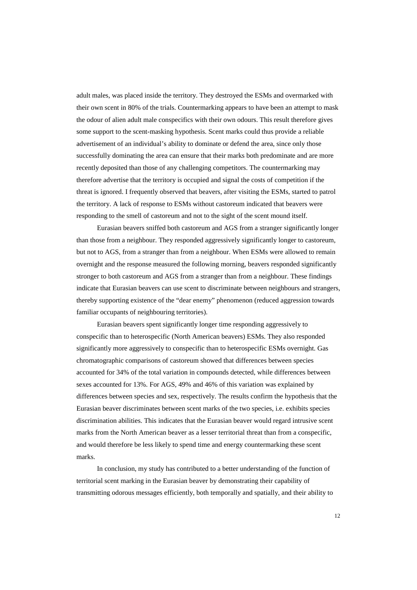adult males, was placed inside the territory. They destroyed the ESMs and overmarked with their own scent in 80% of the trials. Countermarking appears to have been an attempt to mask the odour of alien adult male conspecifics with their own odours. This result therefore gives some support to the scent-masking hypothesis. Scent marks could thus provide a reliable advertisement of an individual's ability to dominate or defend the area, since only those successfully dominating the area can ensure that their marks both predominate and are more recently deposited than those of any challenging competitors. The countermarking may therefore advertise that the territory is occupied and signal the costs of competition if the threat is ignored. I frequently observed that beavers, after visiting the ESMs, started to patrol the territory. A lack of response to ESMs without castoreum indicated that beavers were responding to the smell of castoreum and not to the sight of the scent mound itself.

Eurasian beavers sniffed both castoreum and AGS from a stranger significantly longer than those from a neighbour. They responded aggressively significantly longer to castoreum, but not to AGS, from a stranger than from a neighbour. When ESMs were allowed to remain overnight and the response measured the following morning, beavers responded significantly stronger to both castoreum and AGS from a stranger than from a neighbour. These findings indicate that Eurasian beavers can use scent to discriminate between neighbours and strangers, thereby supporting existence of the "dear enemy" phenomenon (reduced aggression towards familiar occupants of neighbouring territories).

Eurasian beavers spent significantly longer time responding aggressively to conspecific than to heterospecific (North American beavers) ESMs. They also responded significantly more aggressively to conspecific than to heterospecific ESMs overnight. Gas chromatographic comparisons of castoreum showed that differences between species accounted for 34% of the total variation in compounds detected, while differences between sexes accounted for 13%. For AGS, 49% and 46% of this variation was explained by differences between species and sex, respectively. The results confirm the hypothesis that the Eurasian beaver discriminates between scent marks of the two species, i.e. exhibits species discrimination abilities. This indicates that the Eurasian beaver would regard intrusive scent marks from the North American beaver as a lesser territorial threat than from a conspecific, and would therefore be less likely to spend time and energy countermarking these scent marks.

In conclusion, my study has contributed to a better understanding of the function of territorial scent marking in the Eurasian beaver by demonstrating their capability of transmitting odorous messages efficiently, both temporally and spatially, and their ability to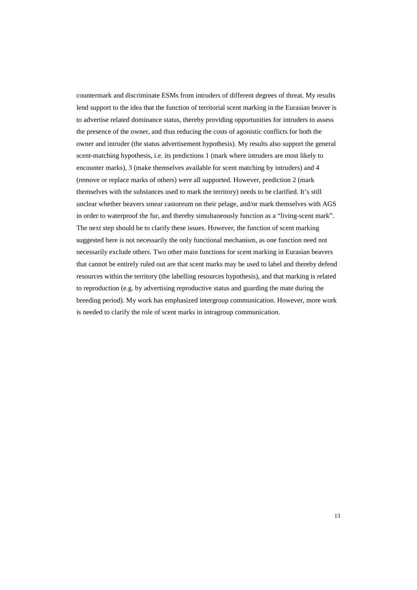countermark and discriminate ESMs from intruders of different degrees of threat. My results lend support to the idea that the function of territorial scent marking in the Eurasian beaver is to advertise related dominance status, thereby providing opportunities for intruders to assess the presence of the owner, and thus reducing the costs of agonistic conflicts for both the owner and intruder (the status advertisement hypothesis). My results also support the general scent-matching hypothesis, i.e. its predictions 1 (mark where intruders are most likely to encounter marks), 3 (make themselves available for scent matching by intruders) and 4 (remove or replace marks of others) were all supported. However, prediction 2 (mark themselves with the substances used to mark the territory) needs to be clarified. It's still unclear whether beavers smear castoreum on their pelage, and/or mark themselves with AGS in order to waterproof the fur, and thereby simultaneously function as a "living-scent mark". The next step should be to clarify these issues. However, the function of scent marking suggested here is not necessarily the only functional mechanism, as one function need not necessarily exclude others. Two other main functions for scent marking in Eurasian beavers that cannot be entirely ruled out are that scent marks may be used to label and thereby defend resources within the territory (the labelling resources hypothesis), and that marking is related to reproduction (e.g. by advertising reproductive status and guarding the mate during the breeding period). My work has emphasized intergroup communication. However, more work is needed to clarify the role of scent marks in intragroup communication.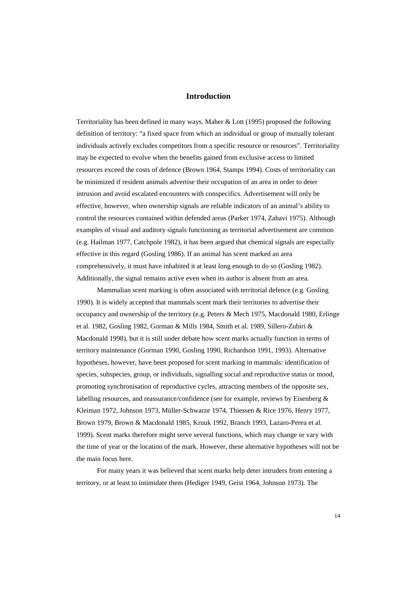## **Introduction**

Territoriality has been defined in many ways. Maher & Lott (1995) proposed the following definition of territory: "a fixed space from which an individual or group of mutually tolerant individuals actively excludes competitors from a specific resource or resources". Territoriality may be expected to evolve when the benefits gained from exclusive access to limited resources exceed the costs of defence (Brown 1964, Stamps 1994). Costs of territoriality can be minimized if resident animals advertise their occupation of an area in order to deter intrusion and avoid escalated encounters with conspecifics. Advertisement will only be effective, however, when ownership signals are reliable indicators of an animal's ability to control the resources contained within defended areas (Parker 1974, Zahavi 1975). Although examples of visual and auditory signals functioning as territorial advertisement are common (e.g. Hailman 1977, Catchpole 1982), it has been argued that chemical signals are especially effective in this regard (Gosling 1986). If an animal has scent marked an area comprehensively, it must have inhabited it at least long enough to do so (Gosling 1982). Additionally, the signal remains active even when its author is absent from an area.

Mammalian scent marking is often associated with territorial defence (e.g. Gosling 1990). It is widely accepted that mammals scent mark their territories to advertise their occupancy and ownership of the territory (e.g. Peters & Mech 1975, Macdonald 1980, Erlinge et al. 1982, Gosling 1982, Gorman & Mills 1984, Smith et al. 1989, Sillero-Zubiri & Macdonald 1998), but it is still under debate how scent marks actually function in terms of territory maintenance (Gorman 1990, Gosling 1990, Richardson 1991, 1993). Alternative hypotheses, however, have been proposed for scent marking in mammals: identification of species, subspecies, group, or individuals, signalling social and reproductive status or mood, promoting synchronisation of reproductive cycles, attracting members of the opposite sex, labelling resources, and reassurance/confidence (see for example, reviews by Eisenberg & Kleiman 1972, Johnson 1973, Müller-Schwarze 1974, Thiessen & Rice 1976, Henry 1977, Brown 1979, Brown & Macdonald 1985, Kruuk 1992, Branch 1993, Lazaro-Perea et al. 1999). Scent marks therefore might serve several functions, which may change or vary with the time of year or the location of the mark. However, these alternative hypotheses will not be the main focus here.

For many years it was believed that scent marks help deter intruders from entering a territory, or at least to intimidate them (Hediger 1949, Geist 1964, Johnson 1973). The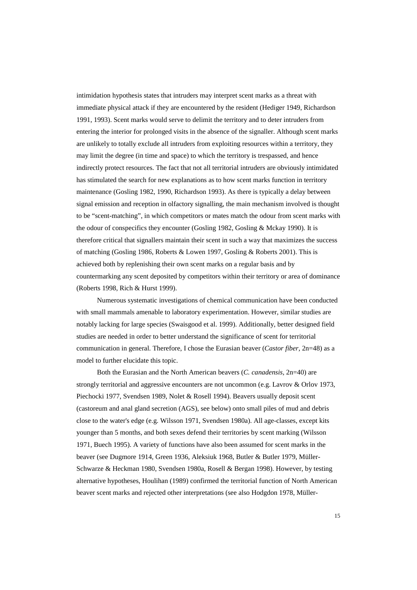intimidation hypothesis states that intruders may interpret scent marks as a threat with immediate physical attack if they are encountered by the resident (Hediger 1949, Richardson 1991, 1993). Scent marks would serve to delimit the territory and to deter intruders from entering the interior for prolonged visits in the absence of the signaller. Although scent marks are unlikely to totally exclude all intruders from exploiting resources within a territory, they may limit the degree (in time and space) to which the territory is trespassed, and hence indirectly protect resources. The fact that not all territorial intruders are obviously intimidated has stimulated the search for new explanations as to how scent marks function in territory maintenance (Gosling 1982, 1990, Richardson 1993). As there is typically a delay between signal emission and reception in olfactory signalling, the main mechanism involved is thought to be "scent-matching", in which competitors or mates match the odour from scent marks with the odour of conspecifics they encounter (Gosling 1982, Gosling & Mckay 1990). It is therefore critical that signallers maintain their scent in such a way that maximizes the success of matching (Gosling 1986, Roberts & Lowen 1997, Gosling & Roberts 2001). This is achieved both by replenishing their own scent marks on a regular basis and by countermarking any scent deposited by competitors within their territory or area of dominance (Roberts 1998, Rich & Hurst 1999).

Numerous systematic investigations of chemical communication have been conducted with small mammals amenable to laboratory experimentation. However, similar studies are notably lacking for large species (Swaisgood et al. 1999). Additionally, better designed field studies are needed in order to better understand the significance of scent for territorial communication in general. Therefore, I chose the Eurasian beaver (*Castor fiber,* 2n=48) as a model to further elucidate this topic.

Both the Eurasian and the North American beavers (*C. canadensis*, 2n=40) are strongly territorial and aggressive encounters are not uncommon (e.g. Lavrov & Orlov 1973, Piechocki 1977, Svendsen 1989, Nolet & Rosell 1994). Beavers usually deposit scent (castoreum and anal gland secretion (AGS), see below) onto small piles of mud and debris close to the water's edge (e.g. Wilsson 1971, Svendsen 1980a). All age-classes, except kits younger than 5 months, and both sexes defend their territories by scent marking (Wilsson 1971, Buech 1995). A variety of functions have also been assumed for scent marks in the beaver (see Dugmore 1914, Green 1936, Aleksiuk 1968, Butler & Butler 1979, Müller-Schwarze & Heckman 1980, Svendsen 1980a, Rosell & Bergan 1998). However, by testing alternative hypotheses, Houlihan (1989) confirmed the territorial function of North American beaver scent marks and rejected other interpretations (see also Hodgdon 1978, Müller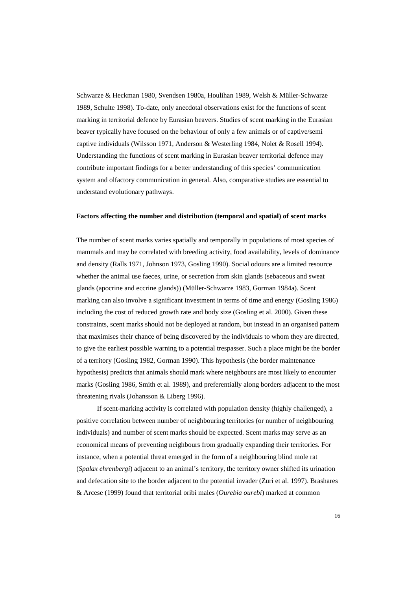Schwarze & Heckman 1980, Svendsen 1980a, Houlihan 1989, Welsh & Müller-Schwarze 1989, Schulte 1998). To-date, only anecdotal observations exist for the functions of scent marking in territorial defence by Eurasian beavers. Studies of scent marking in the Eurasian beaver typically have focused on the behaviour of only a few animals or of captive/semi captive individuals (Wilsson 1971, Anderson & Westerling 1984, Nolet & Rosell 1994). Understanding the functions of scent marking in Eurasian beaver territorial defence may contribute important findings for a better understanding of this species' communication system and olfactory communication in general. Also, comparative studies are essential to understand evolutionary pathways.

### **Factors affecting the number and distribution (temporal and spatial) of scent marks**

The number of scent marks varies spatially and temporally in populations of most species of mammals and may be correlated with breeding activity, food availability, levels of dominance and density (Ralls 1971, Johnson 1973, Gosling 1990). Social odours are a limited resource whether the animal use faeces, urine, or secretion from skin glands (sebaceous and sweat glands (apocrine and eccrine glands)) (Müller-Schwarze 1983, Gorman 1984a). Scent marking can also involve a significant investment in terms of time and energy (Gosling 1986) including the cost of reduced growth rate and body size (Gosling et al. 2000). Given these constraints, scent marks should not be deployed at random, but instead in an organised pattern that maximises their chance of being discovered by the individuals to whom they are directed, to give the earliest possible warning to a potential trespasser. Such a place might be the border of a territory (Gosling 1982, Gorman 1990). This hypothesis (the border maintenance hypothesis) predicts that animals should mark where neighbours are most likely to encounter marks (Gosling 1986, Smith et al. 1989), and preferentially along borders adjacent to the most threatening rivals (Johansson & Liberg 1996).

If scent-marking activity is correlated with population density (highly challenged), a positive correlation between number of neighbouring territories (or number of neighbouring individuals) and number of scent marks should be expected. Scent marks may serve as an economical means of preventing neighbours from gradually expanding their territories. For instance, when a potential threat emerged in the form of a neighbouring blind mole rat (*Spalax ehrenbergi*) adjacent to an animal's territory, the territory owner shifted its urination and defecation site to the border adjacent to the potential invader (Zuri et al. 1997). Brashares & Arcese (1999) found that territorial oribi males (*Ourebia ourebi*) marked at common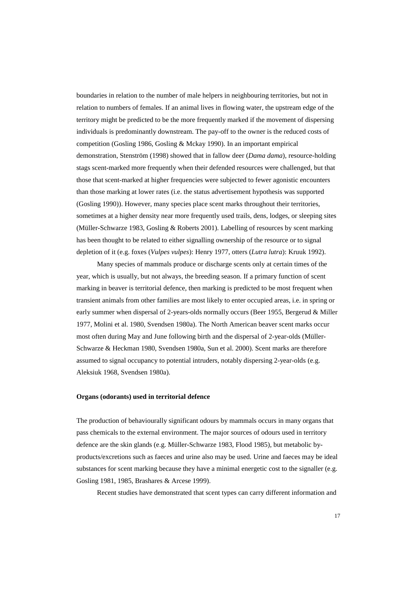boundaries in relation to the number of male helpers in neighbouring territories, but not in relation to numbers of females. If an animal lives in flowing water, the upstream edge of the territory might be predicted to be the more frequently marked if the movement of dispersing individuals is predominantly downstream. The pay-off to the owner is the reduced costs of competition (Gosling 1986, Gosling & Mckay 1990). In an important empirical demonstration, Stenström (1998) showed that in fallow deer (*Dama dama*), resource-holding stags scent-marked more frequently when their defended resources were challenged, but that those that scent-marked at higher frequencies were subjected to fewer agonistic encounters than those marking at lower rates (i.e. the status advertisement hypothesis was supported (Gosling 1990)). However, many species place scent marks throughout their territories, sometimes at a higher density near more frequently used trails, dens, lodges, or sleeping sites (Müller-Schwarze 1983, Gosling & Roberts 2001). Labelling of resources by scent marking has been thought to be related to either signalling ownership of the resource or to signal depletion of it (e.g. foxes (*Vulpes vulpes*): Henry 1977, otters (*Lutra lutra*): Kruuk 1992).

Many species of mammals produce or discharge scents only at certain times of the year, which is usually, but not always, the breeding season. If a primary function of scent marking in beaver is territorial defence, then marking is predicted to be most frequent when transient animals from other families are most likely to enter occupied areas, i.e. in spring or early summer when dispersal of 2-years-olds normally occurs (Beer 1955, Bergerud & Miller 1977, Molini et al. 1980, Svendsen 1980a). The North American beaver scent marks occur most often during May and June following birth and the dispersal of 2-year-olds (Müller-Schwarze & Heckman 1980, Svendsen 1980a, Sun et al. 2000). Scent marks are therefore assumed to signal occupancy to potential intruders, notably dispersing 2-year-olds (e.g. Aleksiuk 1968, Svendsen 1980a).

## **Organs (odorants) used in territorial defence**

The production of behaviourally significant odours by mammals occurs in many organs that pass chemicals to the external environment. The major sources of odours used in territory defence are the skin glands (e.g. Müller-Schwarze 1983, Flood 1985), but metabolic byproducts/excretions such as faeces and urine also may be used. Urine and faeces may be ideal substances for scent marking because they have a minimal energetic cost to the signaller (e.g. Gosling 1981, 1985, Brashares & Arcese 1999).

Recent studies have demonstrated that scent types can carry different information and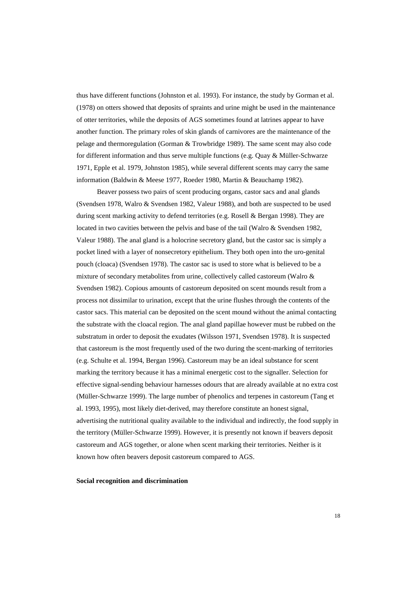thus have different functions (Johnston et al. 1993). For instance, the study by Gorman et al. (1978) on otters showed that deposits of spraints and urine might be used in the maintenance of otter territories, while the deposits of AGS sometimes found at latrines appear to have another function. The primary roles of skin glands of carnivores are the maintenance of the pelage and thermoregulation (Gorman & Trowbridge 1989). The same scent may also code for different information and thus serve multiple functions (e.g. Quay & Müller-Schwarze 1971, Epple et al. 1979, Johnston 1985), while several different scents may carry the same information (Baldwin & Meese 1977, Roeder 1980, Martin & Beauchamp 1982).

Beaver possess two pairs of scent producing organs, castor sacs and anal glands (Svendsen 1978, Walro & Svendsen 1982, Valeur 1988), and both are suspected to be used during scent marking activity to defend territories (e.g. Rosell & Bergan 1998). They are located in two cavities between the pelvis and base of the tail (Walro & Svendsen 1982, Valeur 1988). The anal gland is a holocrine secretory gland, but the castor sac is simply a pocket lined with a layer of nonsecretory epithelium. They both open into the uro-genital pouch (cloaca) (Svendsen 1978). The castor sac is used to store what is believed to be a mixture of secondary metabolites from urine, collectively called castoreum (Walro & Svendsen 1982). Copious amounts of castoreum deposited on scent mounds result from a process not dissimilar to urination, except that the urine flushes through the contents of the castor sacs. This material can be deposited on the scent mound without the animal contacting the substrate with the cloacal region. The anal gland papillae however must be rubbed on the substratum in order to deposit the exudates (Wilsson 1971, Svendsen 1978). It is suspected that castoreum is the most frequently used of the two during the scent-marking of territories (e.g. Schulte et al. 1994, Bergan 1996). Castoreum may be an ideal substance for scent marking the territory because it has a minimal energetic cost to the signaller. Selection for effective signal-sending behaviour harnesses odours that are already available at no extra cost (Müller-Schwarze 1999). The large number of phenolics and terpenes in castoreum (Tang et al. 1993, 1995), most likely diet-derived, may therefore constitute an honest signal, advertising the nutritional quality available to the individual and indirectly, the food supply in the territory (Müller-Schwarze 1999). However, it is presently not known if beavers deposit castoreum and AGS together, or alone when scent marking their territories. Neither is it known how often beavers deposit castoreum compared to AGS.

### **Social recognition and discrimination**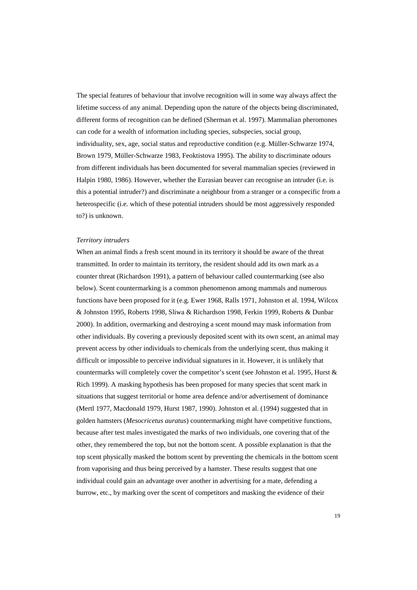The special features of behaviour that involve recognition will in some way always affect the lifetime success of any animal. Depending upon the nature of the objects being discriminated, different forms of recognition can be defined (Sherman et al. 1997). Mammalian pheromones can code for a wealth of information including species, subspecies, social group, individuality, sex, age, social status and reproductive condition (e.g. Müller-Schwarze 1974, Brown 1979, Müller-Schwarze 1983, Feoktistova 1995). The ability to discriminate odours from different individuals has been documented for several mammalian species (reviewed in Halpin 1980, 1986). However, whether the Eurasian beaver can recognise an intruder (i.e. is this a potential intruder?) and discriminate a neighbour from a stranger or a conspecific from a heterospecific (i.e. which of these potential intruders should be most aggressively responded to?) is unknown.

## *Territory intruders*

When an animal finds a fresh scent mound in its territory it should be aware of the threat transmitted. In order to maintain its territory, the resident should add its own mark as a counter threat (Richardson 1991), a pattern of behaviour called countermarking (see also below). Scent countermarking is a common phenomenon among mammals and numerous functions have been proposed for it (e.g. Ewer 1968, Ralls 1971, Johnston et al. 1994, Wilcox & Johnston 1995, Roberts 1998, Sliwa & Richardson 1998, Ferkin 1999, Roberts & Dunbar 2000). In addition, overmarking and destroying a scent mound may mask information from other individuals. By covering a previously deposited scent with its own scent, an animal may prevent access by other individuals to chemicals from the underlying scent, thus making it difficult or impossible to perceive individual signatures in it. However, it is unlikely that countermarks will completely cover the competitor's scent (see Johnston et al. 1995, Hurst & Rich 1999). A masking hypothesis has been proposed for many species that scent mark in situations that suggest territorial or home area defence and/or advertisement of dominance (Mertl 1977, Macdonald 1979, Hurst 1987, 1990). Johnston et al. (1994) suggested that in golden hamsters (*Mesocricetus auratus*) countermarking might have competitive functions, because after test males investigated the marks of two individuals, one covering that of the other, they remembered the top, but not the bottom scent. A possible explanation is that the top scent physically masked the bottom scent by preventing the chemicals in the bottom scent from vaporising and thus being perceived by a hamster. These results suggest that one individual could gain an advantage over another in advertising for a mate, defending a burrow, etc., by marking over the scent of competitors and masking the evidence of their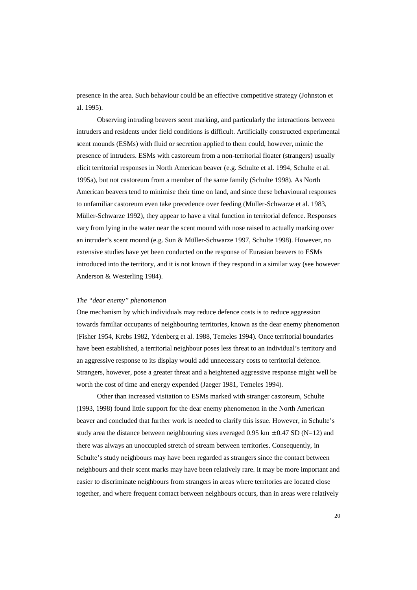presence in the area. Such behaviour could be an effective competitive strategy (Johnston et al. 1995).

Observing intruding beavers scent marking, and particularly the interactions between intruders and residents under field conditions is difficult. Artificially constructed experimental scent mounds (ESMs) with fluid or secretion applied to them could, however, mimic the presence of intruders. ESMs with castoreum from a non-territorial floater (strangers) usually elicit territorial responses in North American beaver (e.g. Schulte et al. 1994, Schulte et al. 1995a), but not castoreum from a member of the same family (Schulte 1998). As North American beavers tend to minimise their time on land, and since these behavioural responses to unfamiliar castoreum even take precedence over feeding (Müller-Schwarze et al. 1983, Müller-Schwarze 1992), they appear to have a vital function in territorial defence. Responses vary from lying in the water near the scent mound with nose raised to actually marking over an intruder's scent mound (e.g. Sun & Müller-Schwarze 1997, Schulte 1998). However, no extensive studies have yet been conducted on the response of Eurasian beavers to ESMs introduced into the territory, and it is not known if they respond in a similar way (see however Anderson & Westerling 1984).

#### *The "dear enemy" phenomenon*

One mechanism by which individuals may reduce defence costs is to reduce aggression towards familiar occupants of neighbouring territories, known as the dear enemy phenomenon (Fisher 1954, Krebs 1982, Ydenberg et al. 1988, Temeles 1994). Once territorial boundaries have been established, a territorial neighbour poses less threat to an individual's territory and an aggressive response to its display would add unnecessary costs to territorial defence. Strangers, however, pose a greater threat and a heightened aggressive response might well be worth the cost of time and energy expended (Jaeger 1981, Temeles 1994).

Other than increased visitation to ESMs marked with stranger castoreum, Schulte (1993, 1998) found little support for the dear enemy phenomenon in the North American beaver and concluded that further work is needed to clarify this issue. However, in Schulte's study area the distance between neighbouring sites averaged 0.95 km  $\pm$  0.47 SD (N=12) and there was always an unoccupied stretch of stream between territories. Consequently, in Schulte's study neighbours may have been regarded as strangers since the contact between neighbours and their scent marks may have been relatively rare. It may be more important and easier to discriminate neighbours from strangers in areas where territories are located close together, and where frequent contact between neighbours occurs, than in areas were relatively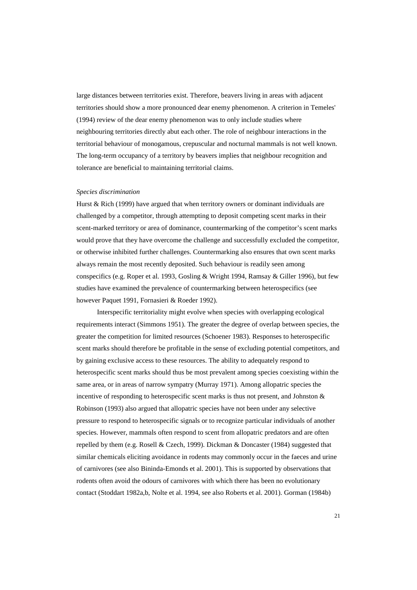large distances between territories exist. Therefore, beavers living in areas with adjacent territories should show a more pronounced dear enemy phenomenon. A criterion in Temeles' (1994) review of the dear enemy phenomenon was to only include studies where neighbouring territories directly abut each other. The role of neighbour interactions in the territorial behaviour of monogamous, crepuscular and nocturnal mammals is not well known. The long-term occupancy of a territory by beavers implies that neighbour recognition and tolerance are beneficial to maintaining territorial claims.

#### *Species discrimination*

Hurst & Rich (1999) have argued that when territory owners or dominant individuals are challenged by a competitor, through attempting to deposit competing scent marks in their scent-marked territory or area of dominance, countermarking of the competitor's scent marks would prove that they have overcome the challenge and successfully excluded the competitor, or otherwise inhibited further challenges. Countermarking also ensures that own scent marks always remain the most recently deposited. Such behaviour is readily seen among conspecifics (e.g. Roper et al. 1993, Gosling & Wright 1994, Ramsay & Giller 1996), but few studies have examined the prevalence of countermarking between heterospecifics (see however Paquet 1991, Fornasieri & Roeder 1992).

Interspecific territoriality might evolve when species with overlapping ecological requirements interact (Simmons 1951). The greater the degree of overlap between species, the greater the competition for limited resources (Schoener 1983). Responses to heterospecific scent marks should therefore be profitable in the sense of excluding potential competitors, and by gaining exclusive access to these resources. The ability to adequately respond to heterospecific scent marks should thus be most prevalent among species coexisting within the same area, or in areas of narrow sympatry (Murray 1971). Among allopatric species the incentive of responding to heterospecific scent marks is thus not present, and Johnston & Robinson (1993) also argued that allopatric species have not been under any selective pressure to respond to heterospecific signals or to recognize particular individuals of another species. However, mammals often respond to scent from allopatric predators and are often repelled by them (e.g. Rosell & Czech, 1999). Dickman & Doncaster (1984) suggested that similar chemicals eliciting avoidance in rodents may commonly occur in the faeces and urine of carnivores (see also Bininda-Emonds et al. 2001). This is supported by observations that rodents often avoid the odours of carnivores with which there has been no evolutionary contact (Stoddart 1982a,b, Nolte et al. 1994, see also Roberts et al. 2001). Gorman (1984b)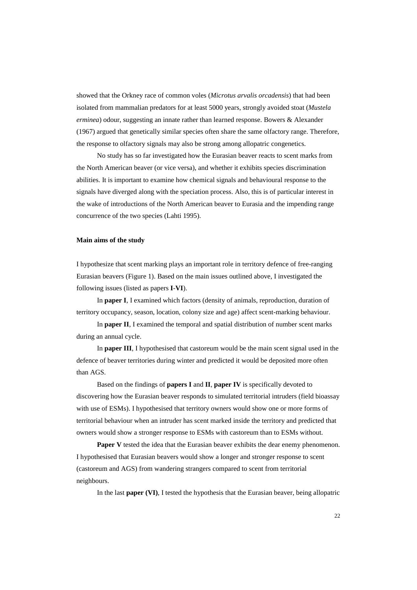showed that the Orkney race of common voles (*Microtus arvalis orcadensis*) that had been isolated from mammalian predators for at least 5000 years, strongly avoided stoat (*Mustela erminea*) odour, suggesting an innate rather than learned response. Bowers & Alexander (1967) argued that genetically similar species often share the same olfactory range. Therefore, the response to olfactory signals may also be strong among allopatric congenetics.

No study has so far investigated how the Eurasian beaver reacts to scent marks from the North American beaver (or vice versa), and whether it exhibits species discrimination abilities. It is important to examine how chemical signals and behavioural response to the signals have diverged along with the speciation process. Also, this is of particular interest in the wake of introductions of the North American beaver to Eurasia and the impending range concurrence of the two species (Lahti 1995).

## **Main aims of the study**

I hypothesize that scent marking plays an important role in territory defence of free-ranging Eurasian beavers (Figure 1). Based on the main issues outlined above, I investigated the following issues (listed as papers **I**-**VI**).

In **paper I**, I examined which factors (density of animals, reproduction, duration of territory occupancy, season, location, colony size and age) affect scent-marking behaviour.

In **paper II**, I examined the temporal and spatial distribution of number scent marks during an annual cycle.

In **paper III**, I hypothesised that castoreum would be the main scent signal used in the defence of beaver territories during winter and predicted it would be deposited more often than AGS.

Based on the findings of **papers I** and **II**, **paper IV** is specifically devoted to discovering how the Eurasian beaver responds to simulated territorial intruders (field bioassay with use of ESMs). I hypothesised that territory owners would show one or more forms of territorial behaviour when an intruder has scent marked inside the territory and predicted that owners would show a stronger response to ESMs with castoreum than to ESMs without.

**Paper V** tested the idea that the Eurasian beaver exhibits the dear enemy phenomenon. I hypothesised that Eurasian beavers would show a longer and stronger response to scent (castoreum and AGS) from wandering strangers compared to scent from territorial neighbours.

In the last **paper (VI)**, I tested the hypothesis that the Eurasian beaver, being allopatric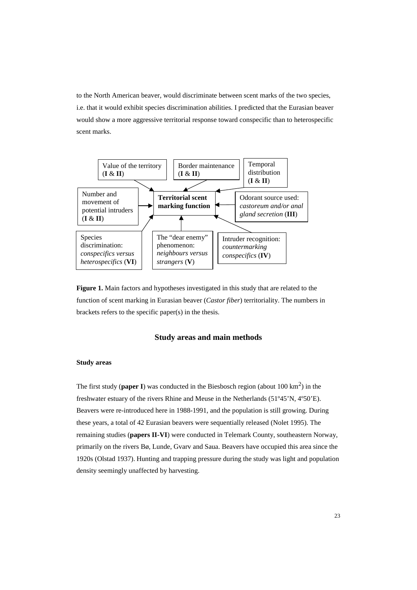to the North American beaver, would discriminate between scent marks of the two species, i.e. that it would exhibit species discrimination abilities. I predicted that the Eurasian beaver would show a more aggressive territorial response toward conspecific than to heterospecific scent marks.



**Figure 1.** Main factors and hypotheses investigated in this study that are related to the function of scent marking in Eurasian beaver (*Castor fiber*) territoriality. The numbers in brackets refers to the specific paper(s) in the thesis.

## **Study areas and main methods**

### **Study areas**

The first study (**paper I**) was conducted in the Biesbosch region (about  $100 \text{ km}^2$ ) in the freshwater estuary of the rivers Rhine and Meuse in the Netherlands (51º45'N, 4º50'E). Beavers were re-introduced here in 1988-1991, and the population is still growing. During these years, a total of 42 Eurasian beavers were sequentially released (Nolet 1995). The remaining studies (**papers II-VI**) were conducted in Telemark County, southeastern Norway, primarily on the rivers Bø, Lunde, Gvarv and Saua. Beavers have occupied this area since the 1920s (Olstad 1937). Hunting and trapping pressure during the study was light and population density seemingly unaffected by harvesting.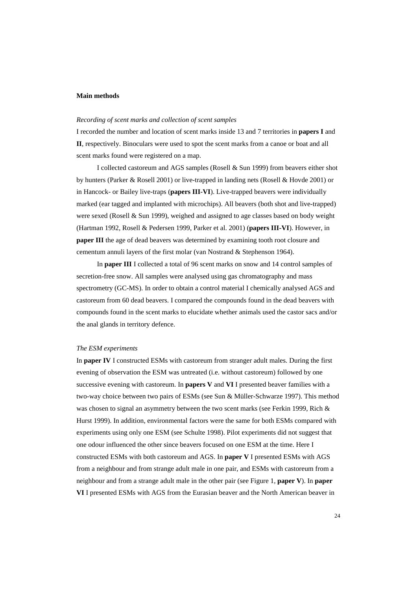## **Main methods**

### *Recording of scent marks and collection of scent samples*

I recorded the number and location of scent marks inside 13 and 7 territories in **papers I** and **II**, respectively. Binoculars were used to spot the scent marks from a canoe or boat and all scent marks found were registered on a map.

I collected castoreum and AGS samples (Rosell & Sun 1999) from beavers either shot by hunters (Parker & Rosell 2001) or live-trapped in landing nets (Rosell & Hovde 2001) or in Hancock- or Bailey live-traps (**papers III-VI**). Live-trapped beavers were individually marked (ear tagged and implanted with microchips). All beavers (both shot and live-trapped) were sexed (Rosell & Sun 1999), weighed and assigned to age classes based on body weight (Hartman 1992, Rosell & Pedersen 1999, Parker et al. 2001) (**papers III-VI**). However, in **paper III** the age of dead beavers was determined by examining tooth root closure and cementum annuli layers of the first molar (van Nostrand & Stephenson 1964).

In **paper III** I collected a total of 96 scent marks on snow and 14 control samples of secretion-free snow. All samples were analysed using gas chromatography and mass spectrometry (GC-MS). In order to obtain a control material I chemically analysed AGS and castoreum from 60 dead beavers. I compared the compounds found in the dead beavers with compounds found in the scent marks to elucidate whether animals used the castor sacs and/or the anal glands in territory defence.

## *The ESM experiments*

In **paper IV** I constructed ESMs with castoreum from stranger adult males. During the first evening of observation the ESM was untreated (i.e. without castoreum) followed by one successive evening with castoreum. In **papers V** and **VI** I presented beaver families with a two-way choice between two pairs of ESMs (see Sun & Müller-Schwarze 1997). This method was chosen to signal an asymmetry between the two scent marks (see Ferkin 1999, Rich & Hurst 1999). In addition, environmental factors were the same for both ESMs compared with experiments using only one ESM (see Schulte 1998). Pilot experiments did not suggest that one odour influenced the other since beavers focused on one ESM at the time. Here I constructed ESMs with both castoreum and AGS. In **paper V** I presented ESMs with AGS from a neighbour and from strange adult male in one pair, and ESMs with castoreum from a neighbour and from a strange adult male in the other pair (see Figure 1, **paper V**). In **paper VI** I presented ESMs with AGS from the Eurasian beaver and the North American beaver in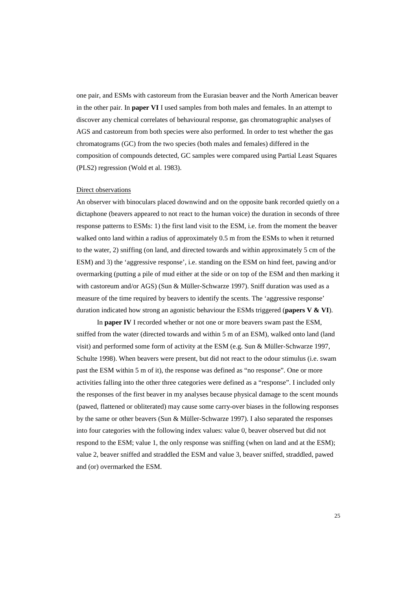one pair, and ESMs with castoreum from the Eurasian beaver and the North American beaver in the other pair. In **paper VI** I used samples from both males and females. In an attempt to discover any chemical correlates of behavioural response, gas chromatographic analyses of AGS and castoreum from both species were also performed. In order to test whether the gas chromatograms (GC) from the two species (both males and females) differed in the composition of compounds detected, GC samples were compared using Partial Least Squares (PLS2) regression (Wold et al. 1983).

### Direct observations

An observer with binoculars placed downwind and on the opposite bank recorded quietly on a dictaphone (beavers appeared to not react to the human voice) the duration in seconds of three response patterns to ESMs: 1) the first land visit to the ESM, i.e. from the moment the beaver walked onto land within a radius of approximately 0.5 m from the ESMs to when it returned to the water, 2) sniffing (on land, and directed towards and within approximately 5 cm of the ESM) and 3) the 'aggressive response', i.e. standing on the ESM on hind feet, pawing and/or overmarking (putting a pile of mud either at the side or on top of the ESM and then marking it with castoreum and/or AGS) (Sun & Müller-Schwarze 1997). Sniff duration was used as a measure of the time required by beavers to identify the scents. The 'aggressive response' duration indicated how strong an agonistic behaviour the ESMs triggered (**papers V & VI**).

In **paper IV** I recorded whether or not one or more beavers swam past the ESM, sniffed from the water (directed towards and within 5 m of an ESM), walked onto land (land visit) and performed some form of activity at the ESM (e.g. Sun & Müller-Schwarze 1997, Schulte 1998). When beavers were present, but did not react to the odour stimulus (i.e. swam past the ESM within 5 m of it), the response was defined as "no response". One or more activities falling into the other three categories were defined as a "response". I included only the responses of the first beaver in my analyses because physical damage to the scent mounds (pawed, flattened or obliterated) may cause some carry-over biases in the following responses by the same or other beavers (Sun & Müller-Schwarze 1997). I also separated the responses into four categories with the following index values: value 0, beaver observed but did not respond to the ESM; value 1, the only response was sniffing (when on land and at the ESM); value 2, beaver sniffed and straddled the ESM and value 3, beaver sniffed, straddled, pawed and (or) overmarked the ESM.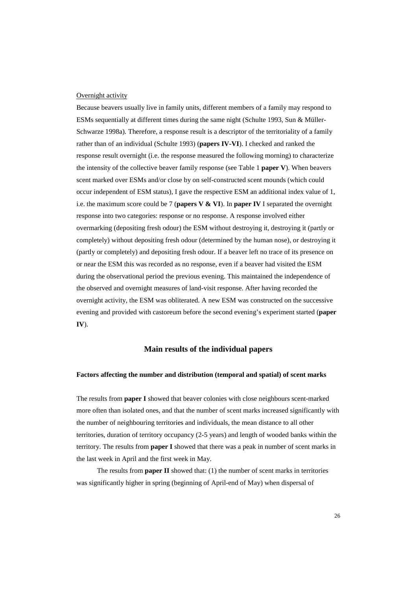## Overnight activity

Because beavers usually live in family units, different members of a family may respond to ESMs sequentially at different times during the same night (Schulte 1993, Sun & Müller-Schwarze 1998a). Therefore, a response result is a descriptor of the territoriality of a family rather than of an individual (Schulte 1993) (**papers IV-VI**). I checked and ranked the response result overnight (i.e. the response measured the following morning) to characterize the intensity of the collective beaver family response (see Table 1 **paper V**). When beavers scent marked over ESMs and/or close by on self-constructed scent mounds (which could occur independent of ESM status), I gave the respective ESM an additional index value of 1, i.e. the maximum score could be 7 (**papers V & VI**). In **paper IV** I separated the overnight response into two categories: response or no response. A response involved either overmarking (depositing fresh odour) the ESM without destroying it, destroying it (partly or completely) without depositing fresh odour (determined by the human nose), or destroying it (partly or completely) and depositing fresh odour. If a beaver left no trace of its presence on or near the ESM this was recorded as no response, even if a beaver had visited the ESM during the observational period the previous evening. This maintained the independence of the observed and overnight measures of land-visit response. After having recorded the overnight activity, the ESM was obliterated. A new ESM was constructed on the successive evening and provided with castoreum before the second evening's experiment started (**paper IV**).

## **Main results of the individual papers**

### **Factors affecting the number and distribution (temporal and spatial) of scent marks**

The results from **paper I** showed that beaver colonies with close neighbours scent-marked more often than isolated ones, and that the number of scent marks increased significantly with the number of neighbouring territories and individuals, the mean distance to all other territories, duration of territory occupancy (2-5 years) and length of wooded banks within the territory. The results from **paper I** showed that there was a peak in number of scent marks in the last week in April and the first week in May.

The results from **paper II** showed that: (1) the number of scent marks in territories was significantly higher in spring (beginning of April-end of May) when dispersal of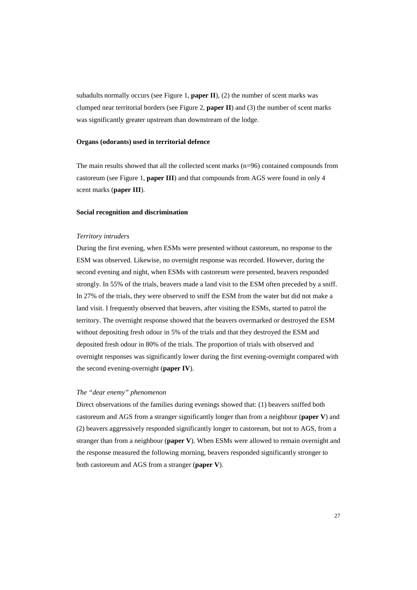subadults normally occurs (see Figure 1, **paper II**), (2) the number of scent marks was clumped near territorial borders (see Figure 2, **paper II**) and (3) the number of scent marks was significantly greater upstream than downstream of the lodge.

## **Organs (odorants) used in territorial defence**

The main results showed that all the collected scent marks (n=96) contained compounds from castoreum (see Figure 1, **paper III**) and that compounds from AGS were found in only 4 scent marks (**paper III**).

#### **Social recognition and discrimination**

#### *Territory intruders*

During the first evening, when ESMs were presented without castoreum, no response to the ESM was observed. Likewise, no overnight response was recorded. However, during the second evening and night, when ESMs with castoreum were presented, beavers responded strongly. In 55% of the trials, beavers made a land visit to the ESM often preceded by a sniff. In 27% of the trials, they were observed to sniff the ESM from the water but did not make a land visit. I frequently observed that beavers, after visiting the ESMs, started to patrol the territory. The overnight response showed that the beavers overmarked or destroyed the ESM without depositing fresh odour in 5% of the trials and that they destroyed the ESM and deposited fresh odour in 80% of the trials. The proportion of trials with observed and overnight responses was significantly lower during the first evening-overnight compared with the second evening-overnight (**paper IV**).

### *The "dear enemy" phenomenon*

Direct observations of the families during evenings showed that: (1) beavers sniffed both castoreum and AGS from a stranger significantly longer than from a neighbour (**paper V**) and (2) beavers aggressively responded significantly longer to castoreum, but not to AGS, from a stranger than from a neighbour (**paper V**). When ESMs were allowed to remain overnight and the response measured the following morning, beavers responded significantly stronger to both castoreum and AGS from a stranger (**paper V**).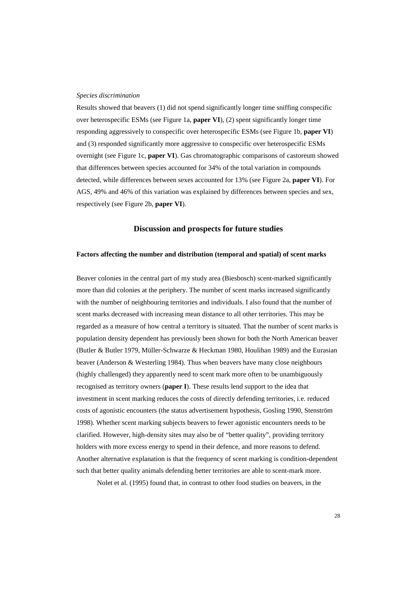## *Species discrimination*

Results showed that beavers (1) did not spend significantly longer time sniffing conspecific over heterospecific ESMs (see Figure 1a, **paper VI**), (2) spent significantly longer time responding aggressively to conspecific over heterospecific ESMs (see Figure 1b, **paper VI**) and (3) responded significantly more aggressive to conspecific over heterospecific ESMs overnight (see Figure 1c, **paper VI**). Gas chromatographic comparisons of castoreum showed that differences between species accounted for 34% of the total variation in compounds detected, while differences between sexes accounted for 13% (see Figure 2a, **paper VI**). For AGS, 49% and 46% of this variation was explained by differences between species and sex, respectively (see Figure 2b, **paper VI**).

## **Discussion and prospects for future studies**

## **Factors affecting the number and distribution (temporal and spatial) of scent marks**

Beaver colonies in the central part of my study area (Biesbosch) scent-marked significantly more than did colonies at the periphery. The number of scent marks increased significantly with the number of neighbouring territories and individuals. I also found that the number of scent marks decreased with increasing mean distance to all other territories. This may be regarded as a measure of how central a territory is situated. That the number of scent marks is population density dependent has previously been shown for both the North American beaver (Butler & Butler 1979, Müller-Schwarze & Heckman 1980, Houlihan 1989) and the Eurasian beaver (Anderson & Westerling 1984). Thus when beavers have many close neighbours (highly challenged) they apparently need to scent mark more often to be unambiguously recognised as territory owners (**paper I**). These results lend support to the idea that investment in scent marking reduces the costs of directly defending territories, i.e. reduced costs of agonistic encounters (the status advertisement hypothesis, Gosling 1990, Stenström 1998). Whether scent marking subjects beavers to fewer agonistic encounters needs to be clarified. However, high-density sites may also be of "better quality", providing territory holders with more excess energy to spend in their defence, and more reasons to defend. Another alternative explanation is that the frequency of scent marking is condition-dependent such that better quality animals defending better territories are able to scent-mark more.

Nolet et al. (1995) found that, in contrast to other food studies on beavers, in the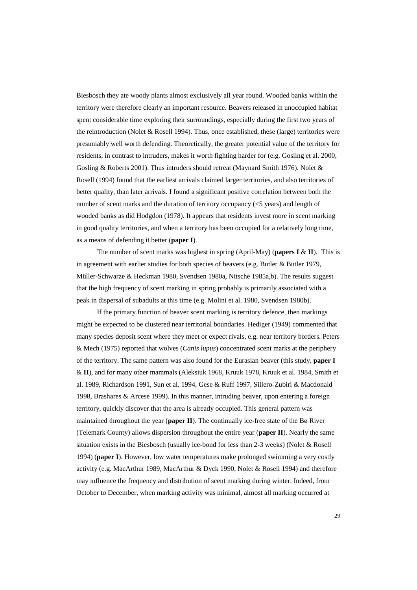Biesbosch they ate woody plants almost exclusively all year round. Wooded banks within the territory were therefore clearly an important resource. Beavers released in unoccupied habitat spent considerable time exploring their surroundings, especially during the first two years of the reintroduction (Nolet & Rosell 1994). Thus, once established, these (large) territories were presumably well worth defending. Theoretically, the greater potential value of the territory for residents, in contrast to intruders, makes it worth fighting harder for (e.g. Gosling et al. 2000, Gosling & Roberts 2001). Thus intruders should retreat (Maynard Smith 1976). Nolet & Rosell (1994) found that the earliest arrivals claimed larger territories, and also territories of better quality, than later arrivals. I found a significant positive correlation between both the number of scent marks and the duration of territory occupancy (<5 years) and length of wooded banks as did Hodgdon (1978). It appears that residents invest more in scent marking in good quality territories, and when a territory has been occupied for a relatively long time, as a means of defending it better (**paper I**).

The number of scent marks was highest in spring (April-May) (**papers I** & **II**). This is in agreement with earlier studies for both species of beavers (e.g. Butler & Butler 1979, Müller-Schwarze & Heckman 1980, Svendsen 1980a, Nitsche 1985a,b). The results suggest that the high frequency of scent marking in spring probably is primarily associated with a peak in dispersal of subadults at this time (e.g. Molini et al. 1980, Svendsen 1980b).

If the primary function of beaver scent marking is territory defence, then markings might be expected to be clustered near territorial boundaries. Hediger (1949) commented that many species deposit scent where they meet or expect rivals, e.g. near territory borders. Peters & Mech (1975) reported that wolves (*Canis lupus*) concentrated scent marks at the periphery of the territory. The same pattern was also found for the Eurasian beaver (this study, **paper I** & **II**), and for many other mammals (Aleksiuk 1968, Kruuk 1978, Kruuk et al. 1984, Smith et al. 1989, Richardson 1991, Sun et al. 1994, Gese & Ruff 1997, Sillero-Zubiri & Macdonald 1998, Brashares & Arcese 1999). In this manner, intruding beaver, upon entering a foreign territory, quickly discover that the area is already occupied. This general pattern was maintained throughout the year (**paper II**). The continually ice-free state of the Bø River (Telemark County) allows dispersion throughout the entire year (**paper II**). Nearly the same situation exists in the Biesbosch (usually ice-bond for less than 2-3 weeks) (Nolet & Rosell 1994) (**paper I**). However, low water temperatures make prolonged swimming a very costly activity (e.g. MacArthur 1989, MacArthur & Dyck 1990, Nolet & Rosell 1994) and therefore may influence the frequency and distribution of scent marking during winter. Indeed, from October to December, when marking activity was minimal, almost all marking occurred at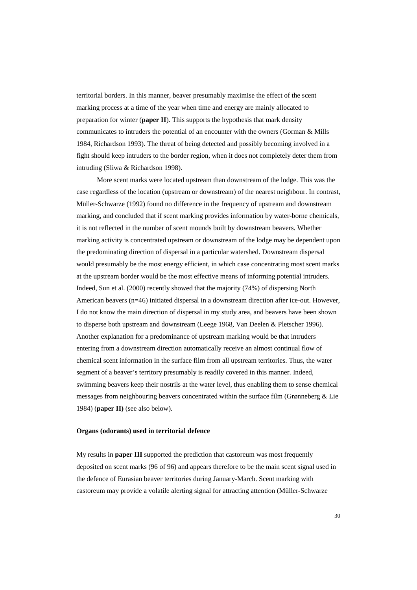territorial borders. In this manner, beaver presumably maximise the effect of the scent marking process at a time of the year when time and energy are mainly allocated to preparation for winter (**paper II**). This supports the hypothesis that mark density communicates to intruders the potential of an encounter with the owners (Gorman & Mills 1984, Richardson 1993). The threat of being detected and possibly becoming involved in a fight should keep intruders to the border region, when it does not completely deter them from intruding (Sliwa & Richardson 1998).

More scent marks were located upstream than downstream of the lodge. This was the case regardless of the location (upstream or downstream) of the nearest neighbour. In contrast, Müller-Schwarze (1992) found no difference in the frequency of upstream and downstream marking, and concluded that if scent marking provides information by water-borne chemicals, it is not reflected in the number of scent mounds built by downstream beavers. Whether marking activity is concentrated upstream or downstream of the lodge may be dependent upon the predominating direction of dispersal in a particular watershed. Downstream dispersal would presumably be the most energy efficient, in which case concentrating most scent marks at the upstream border would be the most effective means of informing potential intruders. Indeed, Sun et al. (2000) recently showed that the majority (74%) of dispersing North American beavers (n=46) initiated dispersal in a downstream direction after ice-out. However, I do not know the main direction of dispersal in my study area, and beavers have been shown to disperse both upstream and downstream (Leege 1968, Van Deelen & Pletscher 1996). Another explanation for a predominance of upstream marking would be that intruders entering from a downstream direction automatically receive an almost continual flow of chemical scent information in the surface film from all upstream territories. Thus, the water segment of a beaver's territory presumably is readily covered in this manner. Indeed, swimming beavers keep their nostrils at the water level, thus enabling them to sense chemical messages from neighbouring beavers concentrated within the surface film (Grønneberg & Lie 1984) (**paper II)** (see also below).

### **Organs (odorants) used in territorial defence**

My results in **paper III** supported the prediction that castoreum was most frequently deposited on scent marks (96 of 96) and appears therefore to be the main scent signal used in the defence of Eurasian beaver territories during January-March. Scent marking with castoreum may provide a volatile alerting signal for attracting attention (Müller-Schwarze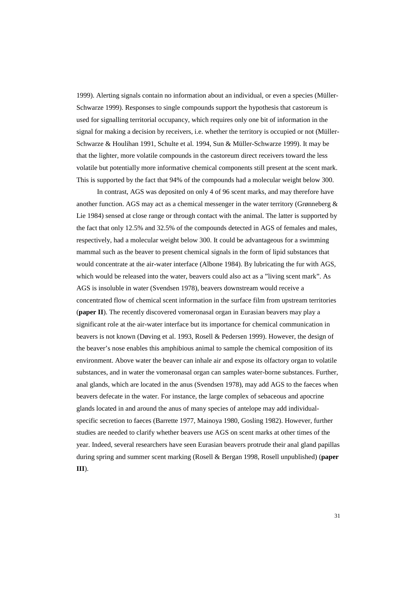1999). Alerting signals contain no information about an individual, or even a species (Müller-Schwarze 1999). Responses to single compounds support the hypothesis that castoreum is used for signalling territorial occupancy, which requires only one bit of information in the signal for making a decision by receivers, i.e. whether the territory is occupied or not (Müller-Schwarze & Houlihan 1991, Schulte et al. 1994, Sun & Müller-Schwarze 1999). It may be that the lighter, more volatile compounds in the castoreum direct receivers toward the less volatile but potentially more informative chemical components still present at the scent mark. This is supported by the fact that 94% of the compounds had a molecular weight below 300.

In contrast, AGS was deposited on only 4 of 96 scent marks, and may therefore have another function. AGS may act as a chemical messenger in the water territory (Grønneberg  $\&$ Lie 1984) sensed at close range or through contact with the animal. The latter is supported by the fact that only 12.5% and 32.5% of the compounds detected in AGS of females and males, respectively, had a molecular weight below 300. It could be advantageous for a swimming mammal such as the beaver to present chemical signals in the form of lipid substances that would concentrate at the air-water interface (Albone 1984). By lubricating the fur with AGS, which would be released into the water, beavers could also act as a "living scent mark". As AGS is insoluble in water (Svendsen 1978), beavers downstream would receive a concentrated flow of chemical scent information in the surface film from upstream territories (**paper II**). The recently discovered vomeronasal organ in Eurasian beavers may play a significant role at the air-water interface but its importance for chemical communication in beavers is not known (Døving et al. 1993, Rosell & Pedersen 1999). However, the design of the beaver's nose enables this amphibious animal to sample the chemical composition of its environment. Above water the beaver can inhale air and expose its olfactory organ to volatile substances, and in water the vomeronasal organ can samples water-borne substances. Further, anal glands, which are located in the anus (Svendsen 1978), may add AGS to the faeces when beavers defecate in the water. For instance, the large complex of sebaceous and apocrine glands located in and around the anus of many species of antelope may add individualspecific secretion to faeces (Barrette 1977, Mainoya 1980, Gosling 1982). However, further studies are needed to clarify whether beavers use AGS on scent marks at other times of the year. Indeed, several researchers have seen Eurasian beavers protrude their anal gland papillas during spring and summer scent marking (Rosell & Bergan 1998, Rosell unpublished) (**paper III**).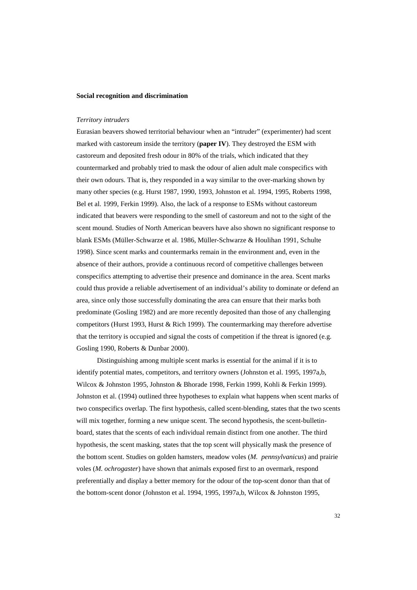## **Social recognition and discrimination**

### *Territory intruders*

Eurasian beavers showed territorial behaviour when an "intruder" (experimenter) had scent marked with castoreum inside the territory (**paper IV**). They destroyed the ESM with castoreum and deposited fresh odour in 80% of the trials, which indicated that they countermarked and probably tried to mask the odour of alien adult male conspecifics with their own odours. That is, they responded in a way similar to the over-marking shown by many other species (e.g. Hurst 1987, 1990, 1993, Johnston et al. 1994, 1995, Roberts 1998, Bel et al. 1999, Ferkin 1999). Also, the lack of a response to ESMs without castoreum indicated that beavers were responding to the smell of castoreum and not to the sight of the scent mound. Studies of North American beavers have also shown no significant response to blank ESMs (Müller-Schwarze et al. 1986, Müller-Schwarze & Houlihan 1991, Schulte 1998). Since scent marks and countermarks remain in the environment and, even in the absence of their authors, provide a continuous record of competitive challenges between conspecifics attempting to advertise their presence and dominance in the area. Scent marks could thus provide a reliable advertisement of an individual's ability to dominate or defend an area, since only those successfully dominating the area can ensure that their marks both predominate (Gosling 1982) and are more recently deposited than those of any challenging competitors (Hurst 1993, Hurst & Rich 1999). The countermarking may therefore advertise that the territory is occupied and signal the costs of competition if the threat is ignored (e.g. Gosling 1990, Roberts & Dunbar 2000).

Distinguishing among multiple scent marks is essential for the animal if it is to identify potential mates, competitors, and territory owners (Johnston et al. 1995, 1997a,b, Wilcox & Johnston 1995, Johnston & Bhorade 1998, Ferkin 1999, Kohli & Ferkin 1999). Johnston et al. (1994) outlined three hypotheses to explain what happens when scent marks of two conspecifics overlap. The first hypothesis, called scent-blending, states that the two scents will mix together, forming a new unique scent. The second hypothesis, the scent-bulletinboard, states that the scents of each individual remain distinct from one another. The third hypothesis, the scent masking, states that the top scent will physically mask the presence of the bottom scent. Studies on golden hamsters, meadow voles (*M. pennsylvanicus*) and prairie voles (*M. ochrogaster*) have shown that animals exposed first to an overmark, respond preferentially and display a better memory for the odour of the top-scent donor than that of the bottom-scent donor (Johnston et al. 1994, 1995, 1997a,b, Wilcox & Johnston 1995,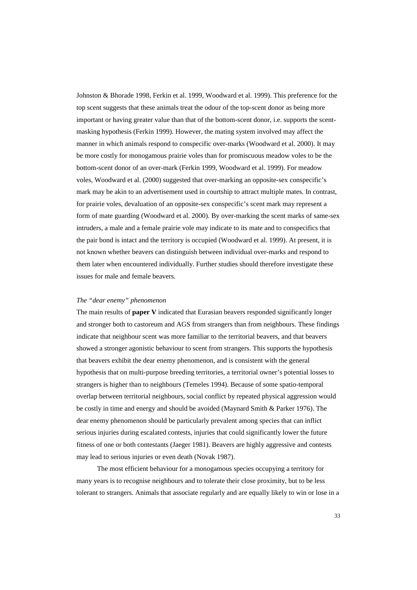Johnston & Bhorade 1998, Ferkin et al. 1999, Woodward et al. 1999). This preference for the top scent suggests that these animals treat the odour of the top-scent donor as being more important or having greater value than that of the bottom-scent donor, i.e. supports the scentmasking hypothesis (Ferkin 1999). However, the mating system involved may affect the manner in which animals respond to conspecific over-marks (Woodward et al. 2000). It may be more costly for monogamous prairie voles than for promiscuous meadow voles to be the bottom-scent donor of an over-mark (Ferkin 1999, Woodward et al. 1999). For meadow voles, Woodward et al. (2000) suggested that over-marking an opposite-sex conspecific's mark may be akin to an advertisement used in courtship to attract multiple mates. In contrast, for prairie voles, devaluation of an opposite-sex conspecific's scent mark may represent a form of mate guarding (Woodward et al. 2000). By over-marking the scent marks of same-sex intruders, a male and a female prairie vole may indicate to its mate and to conspecifics that the pair bond is intact and the territory is occupied (Woodward et al. 1999). At present, it is not known whether beavers can distinguish between individual over-marks and respond to them later when encountered individually. Further studies should therefore investigate these issues for male and female beavers.

#### *The "dear enemy" phenomenon*

The main results of **paper V** indicated that Eurasian beavers responded significantly longer and stronger both to castoreum and AGS from strangers than from neighbours. These findings indicate that neighbour scent was more familiar to the territorial beavers, and that beavers showed a stronger agonistic behaviour to scent from strangers. This supports the hypothesis that beavers exhibit the dear enemy phenomenon, and is consistent with the general hypothesis that on multi-purpose breeding territories, a territorial owner's potential losses to strangers is higher than to neighbours (Temeles 1994). Because of some spatio-temporal overlap between territorial neighbours, social conflict by repeated physical aggression would be costly in time and energy and should be avoided (Maynard Smith & Parker 1976). The dear enemy phenomenon should be particularly prevalent among species that can inflict serious injuries during escalated contests, injuries that could significantly lower the future fitness of one or both contestants (Jaeger 1981). Beavers are highly aggressive and contests may lead to serious injuries or even death (Novak 1987).

The most efficient behaviour for a monogamous species occupying a territory for many years is to recognise neighbours and to tolerate their close proximity, but to be less tolerant to strangers. Animals that associate regularly and are equally likely to win or lose in a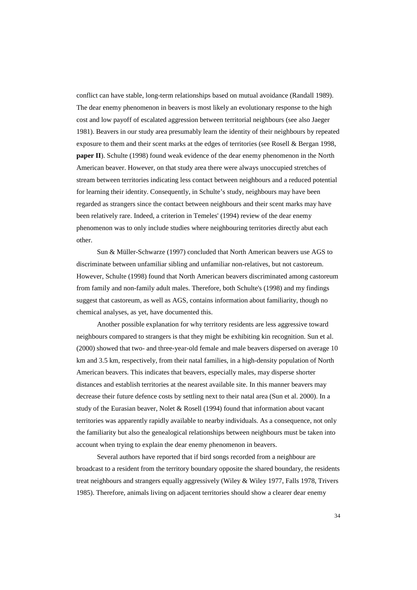conflict can have stable, long-term relationships based on mutual avoidance (Randall 1989). The dear enemy phenomenon in beavers is most likely an evolutionary response to the high cost and low payoff of escalated aggression between territorial neighbours (see also Jaeger 1981). Beavers in our study area presumably learn the identity of their neighbours by repeated exposure to them and their scent marks at the edges of territories (see Rosell & Bergan 1998, **paper II**). Schulte (1998) found weak evidence of the dear enemy phenomenon in the North American beaver. However, on that study area there were always unoccupied stretches of stream between territories indicating less contact between neighbours and a reduced potential for learning their identity. Consequently, in Schulte's study, neighbours may have been regarded as strangers since the contact between neighbours and their scent marks may have been relatively rare. Indeed, a criterion in Temeles' (1994) review of the dear enemy phenomenon was to only include studies where neighbouring territories directly abut each other.

Sun & Müller-Schwarze (1997) concluded that North American beavers use AGS to discriminate between unfamiliar sibling and unfamiliar non-relatives, but not castoreum. However, Schulte (1998) found that North American beavers discriminated among castoreum from family and non-family adult males. Therefore, both Schulte's (1998) and my findings suggest that castoreum, as well as AGS, contains information about familiarity, though no chemical analyses, as yet, have documented this.

Another possible explanation for why territory residents are less aggressive toward neighbours compared to strangers is that they might be exhibiting kin recognition. Sun et al. (2000) showed that two- and three-year-old female and male beavers dispersed on average 10 km and 3.5 km, respectively, from their natal families, in a high-density population of North American beavers. This indicates that beavers, especially males, may disperse shorter distances and establish territories at the nearest available site. In this manner beavers may decrease their future defence costs by settling next to their natal area (Sun et al. 2000). In a study of the Eurasian beaver, Nolet & Rosell (1994) found that information about vacant territories was apparently rapidly available to nearby individuals. As a consequence, not only the familiarity but also the genealogical relationships between neighbours must be taken into account when trying to explain the dear enemy phenomenon in beavers.

Several authors have reported that if bird songs recorded from a neighbour are broadcast to a resident from the territory boundary opposite the shared boundary, the residents treat neighbours and strangers equally aggressively (Wiley & Wiley 1977, Falls 1978, Trivers 1985). Therefore, animals living on adjacent territories should show a clearer dear enemy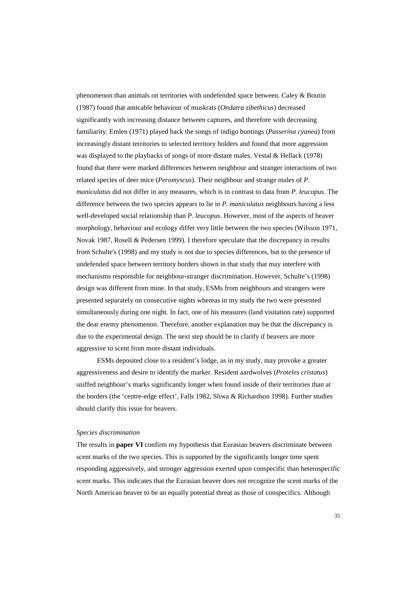phenomenon than animals on territories with undefended space between. Caley & Boutin (1987) found that amicable behaviour of muskrats (*Ondatra zibethicus*) decreased significantly with increasing distance between captures, and therefore with decreasing familiarity. Emlen (1971) played back the songs of indigo buntings (*Passerina cyanea*) from increasingly distant territories to selected territory holders and found that more aggression was displayed to the playbacks of songs of more distant males. Vestal & Hellack (1978) found that there were marked differences between neighbour and stranger interactions of two related species of deer mice (*Peromyscus*). Their neighbour and strange males of *P. maniculatus* did not differ in any measures, which is in contrast to data from *P. leucopus*. The difference between the two species appears to lie in *P. maniculatus* neighbours having a less well-developed social relationship than *P. leucopus*. However, most of the aspects of beaver morphology, behaviour and ecology differ very little between the two species (Wilsson 1971, Novak 1987, Rosell & Pedersen 1999). I therefore speculate that the discrepancy in results from Schulte's (1998) and my study is not due to species differences, but to the presence of undefended space between territory borders shown in that study that may interfere with mechanisms responsible for neighbour-stranger discrimination. However, Schulte's (1998) design was different from mine. In that study, ESMs from neighbours and strangers were presented separately on consecutive nights whereas in my study the two were presented simultaneously during one night. In fact, one of his measures (land visitation rate) supported the dear enemy phenomenon. Therefore, another explanation may be that the discrepancy is due to the experimental design. The next step should be to clarify if beavers are more aggressive to scent from more distant individuals.

ESMs deposited close to a resident's lodge, as in my study, may provoke a greater aggressiveness and desire to identify the marker. Resident aardwolves (*Proteles cristatus*) sniffed neighbour's marks significantly longer when found inside of their territories than at the borders (the 'centre-edge effect', Falls 1982, Sliwa & Richardson 1998). Further studies should clarify this issue for beavers.

#### *Species discrimination*

The results in **paper VI** confirm my hypothesis that Eurasian beavers discriminate between scent marks of the two species. This is supported by the significantly longer time spent responding aggressively, and stronger aggression exerted upon conspecific than heterospecific scent marks. This indicates that the Eurasian beaver does not recognize the scent marks of the North American beaver to be an equally potential threat as those of conspecifics. Although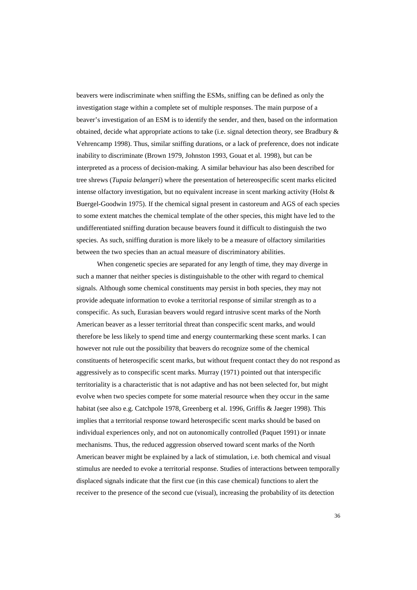beavers were indiscriminate when sniffing the ESMs, sniffing can be defined as only the investigation stage within a complete set of multiple responses. The main purpose of a beaver's investigation of an ESM is to identify the sender, and then, based on the information obtained, decide what appropriate actions to take (i.e. signal detection theory, see Bradbury & Vehrencamp 1998). Thus, similar sniffing durations, or a lack of preference, does not indicate inability to discriminate (Brown 1979, Johnston 1993, Gouat et al. 1998), but can be interpreted as a process of decision-making. A similar behaviour has also been described for tree shrews (*Tupaia belangeri*) where the presentation of hetereospecific scent marks elicited intense olfactory investigation, but no equivalent increase in scent marking activity (Holst & Buergel-Goodwin 1975). If the chemical signal present in castoreum and AGS of each species to some extent matches the chemical template of the other species, this might have led to the undifferentiated sniffing duration because beavers found it difficult to distinguish the two species. As such, sniffing duration is more likely to be a measure of olfactory similarities between the two species than an actual measure of discriminatory abilities.

When congenetic species are separated for any length of time, they may diverge in such a manner that neither species is distinguishable to the other with regard to chemical signals. Although some chemical constituents may persist in both species, they may not provide adequate information to evoke a territorial response of similar strength as to a conspecific. As such, Eurasian beavers would regard intrusive scent marks of the North American beaver as a lesser territorial threat than conspecific scent marks, and would therefore be less likely to spend time and energy countermarking these scent marks. I can however not rule out the possibility that beavers do recognize some of the chemical constituents of heterospecific scent marks, but without frequent contact they do not respond as aggressively as to conspecific scent marks. Murray (1971) pointed out that interspecific territoriality is a characteristic that is not adaptive and has not been selected for, but might evolve when two species compete for some material resource when they occur in the same habitat (see also e.g. Catchpole 1978, Greenberg et al. 1996, Griffis & Jaeger 1998). This implies that a territorial response toward heterospecific scent marks should be based on individual experiences only, and not on autonomically controlled (Paquet 1991) or innate mechanisms. Thus, the reduced aggression observed toward scent marks of the North American beaver might be explained by a lack of stimulation, i.e. both chemical and visual stimulus are needed to evoke a territorial response. Studies of interactions between temporally displaced signals indicate that the first cue (in this case chemical) functions to alert the receiver to the presence of the second cue (visual), increasing the probability of its detection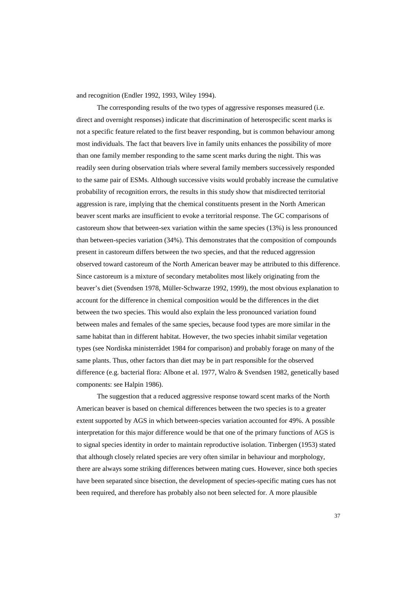and recognition (Endler 1992, 1993, Wiley 1994).

The corresponding results of the two types of aggressive responses measured (i.e. direct and overnight responses) indicate that discrimination of heterospecific scent marks is not a specific feature related to the first beaver responding, but is common behaviour among most individuals. The fact that beavers live in family units enhances the possibility of more than one family member responding to the same scent marks during the night. This was readily seen during observation trials where several family members successively responded to the same pair of ESMs. Although successive visits would probably increase the cumulative probability of recognition errors, the results in this study show that misdirected territorial aggression is rare, implying that the chemical constituents present in the North American beaver scent marks are insufficient to evoke a territorial response. The GC comparisons of castoreum show that between-sex variation within the same species (13%) is less pronounced than between-species variation (34%). This demonstrates that the composition of compounds present in castoreum differs between the two species, and that the reduced aggression observed toward castoreum of the North American beaver may be attributed to this difference. Since castoreum is a mixture of secondary metabolites most likely originating from the beaver's diet (Svendsen 1978, Müller-Schwarze 1992, 1999), the most obvious explanation to account for the difference in chemical composition would be the differences in the diet between the two species. This would also explain the less pronounced variation found between males and females of the same species, because food types are more similar in the same habitat than in different habitat. However, the two species inhabit similar vegetation types (see Nordiska ministerrådet 1984 for comparison) and probably forage on many of the same plants. Thus, other factors than diet may be in part responsible for the observed difference (e.g. bacterial flora: Albone et al. 1977, Walro & Svendsen 1982, genetically based components: see Halpin 1986).

The suggestion that a reduced aggressive response toward scent marks of the North American beaver is based on chemical differences between the two species is to a greater extent supported by AGS in which between-species variation accounted for 49%. A possible interpretation for this major difference would be that one of the primary functions of AGS is to signal species identity in order to maintain reproductive isolation. Tinbergen (1953) stated that although closely related species are very often similar in behaviour and morphology, there are always some striking differences between mating cues. However, since both species have been separated since bisection, the development of species-specific mating cues has not been required, and therefore has probably also not been selected for. A more plausible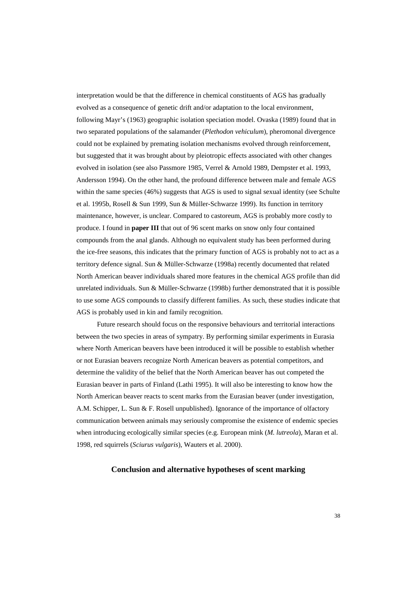interpretation would be that the difference in chemical constituents of AGS has gradually evolved as a consequence of genetic drift and/or adaptation to the local environment, following Mayr's (1963) geographic isolation speciation model. Ovaska (1989) found that in two separated populations of the salamander (*Plethodon vehiculum*), pheromonal divergence could not be explained by premating isolation mechanisms evolved through reinforcement, but suggested that it was brought about by pleiotropic effects associated with other changes evolved in isolation (see also Passmore 1985, Verrel & Arnold 1989, Dempster et al. 1993, Andersson 1994). On the other hand, the profound difference between male and female AGS within the same species (46%) suggests that AGS is used to signal sexual identity (see Schulte et al. 1995b, Rosell & Sun 1999, Sun & Müller-Schwarze 1999). Its function in territory maintenance, however, is unclear. Compared to castoreum, AGS is probably more costly to produce. I found in **paper III** that out of 96 scent marks on snow only four contained compounds from the anal glands. Although no equivalent study has been performed during the ice-free seasons, this indicates that the primary function of AGS is probably not to act as a territory defence signal. Sun & Müller-Schwarze (1998a) recently documented that related North American beaver individuals shared more features in the chemical AGS profile than did unrelated individuals. Sun & Müller-Schwarze (1998b) further demonstrated that it is possible to use some AGS compounds to classify different families. As such, these studies indicate that AGS is probably used in kin and family recognition.

Future research should focus on the responsive behaviours and territorial interactions between the two species in areas of sympatry. By performing similar experiments in Eurasia where North American beavers have been introduced it will be possible to establish whether or not Eurasian beavers recognize North American beavers as potential competitors, and determine the validity of the belief that the North American beaver has out competed the Eurasian beaver in parts of Finland (Lathi 1995). It will also be interesting to know how the North American beaver reacts to scent marks from the Eurasian beaver (under investigation, A.M. Schipper, L. Sun & F. Rosell unpublished). Ignorance of the importance of olfactory communication between animals may seriously compromise the existence of endemic species when introducing ecologically similar species (e.g. European mink (*M. lutreola*), Maran et al. 1998, red squirrels (*Sciurus vulgaris*), Wauters et al. 2000).

## **Conclusion and alternative hypotheses of scent marking**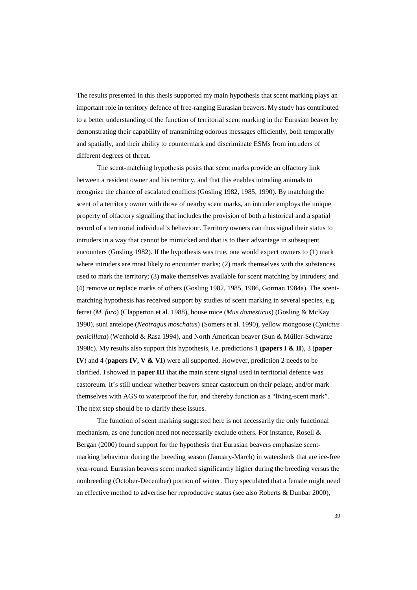The results presented in this thesis supported my main hypothesis that scent marking plays an important role in territory defence of free-ranging Eurasian beavers. My study has contributed to a better understanding of the function of territorial scent marking in the Eurasian beaver by demonstrating their capability of transmitting odorous messages efficiently, both temporally and spatially, and their ability to countermark and discriminate ESMs from intruders of different degrees of threat.

The scent-matching hypothesis posits that scent marks provide an olfactory link between a resident owner and his territory, and that this enables intruding animals to recognize the chance of escalated conflicts (Gosling 1982, 1985, 1990). By matching the scent of a territory owner with those of nearby scent marks, an intruder employs the unique property of olfactory signalling that includes the provision of both a historical and a spatial record of a territorial individual's behaviour. Territory owners can thus signal their status to intruders in a way that cannot be mimicked and that is to their advantage in subsequent encounters (Gosling 1982). If the hypothesis was true, one would expect owners to (1) mark where intruders are most likely to encounter marks; (2) mark themselves with the substances used to mark the territory; (3) make themselves available for scent matching by intruders; and (4) remove or replace marks of others (Gosling 1982, 1985, 1986, Gorman 1984a). The scentmatching hypothesis has received support by studies of scent marking in several species, e.g. ferret (*M. furo*) (Clapperton et al. 1988), house mice (*Mus domesticus*) (Gosling & McKay 1990), suni antelope (*Neotragus moschatus*) (Somers et al. 1990), yellow mongoose (*Cynictus penicillata*) (Wenhold & Rasa 1994), and North American beaver (Sun & Müller-Schwarze 1998c). My results also support this hypothesis, i.e. predictions 1 (**papers I & II**), 3 (**paper IV**) and 4 (**papers IV, V & VI**) were all supported. However, prediction 2 needs to be clarified. I showed in **paper III** that the main scent signal used in territorial defence was castoreum. It's still unclear whether beavers smear castoreum on their pelage, and/or mark themselves with AGS to waterproof the fur, and thereby function as a "living-scent mark". The next step should be to clarify these issues.

The function of scent marking suggested here is not necessarily the only functional mechanism, as one function need not necessarily exclude others. For instance, Rosell & Bergan (2000) found support for the hypothesis that Eurasian beavers emphasize scentmarking behaviour during the breeding season (January-March) in watersheds that are ice-free year-round. Eurasian beavers scent marked significantly higher during the breeding versus the nonbreeding (October-December) portion of winter. They speculated that a female might need an effective method to advertise her reproductive status (see also Roberts & Dunbar 2000),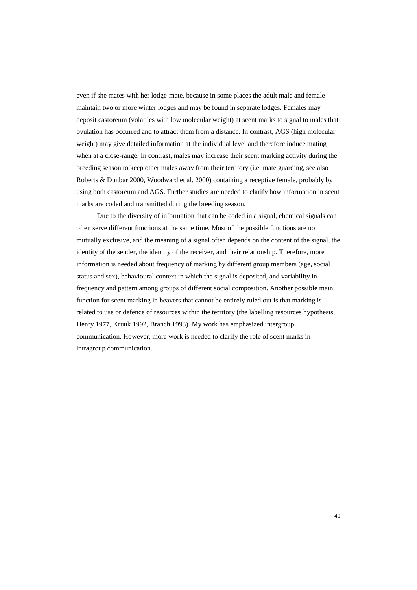even if she mates with her lodge-mate, because in some places the adult male and female maintain two or more winter lodges and may be found in separate lodges. Females may deposit castoreum (volatiles with low molecular weight) at scent marks to signal to males that ovulation has occurred and to attract them from a distance. In contrast, AGS (high molecular weight) may give detailed information at the individual level and therefore induce mating when at a close-range. In contrast, males may increase their scent marking activity during the breeding season to keep other males away from their territory (i.e. mate guarding, see also Roberts & Dunbar 2000, Woodward et al. 2000) containing a receptive female, probably by using both castoreum and AGS. Further studies are needed to clarify how information in scent marks are coded and transmitted during the breeding season.

Due to the diversity of information that can be coded in a signal, chemical signals can often serve different functions at the same time. Most of the possible functions are not mutually exclusive, and the meaning of a signal often depends on the content of the signal, the identity of the sender, the identity of the receiver, and their relationship. Therefore, more information is needed about frequency of marking by different group members (age, social status and sex), behavioural context in which the signal is deposited, and variability in frequency and pattern among groups of different social composition. Another possible main function for scent marking in beavers that cannot be entirely ruled out is that marking is related to use or defence of resources within the territory (the labelling resources hypothesis, Henry 1977, Kruuk 1992, Branch 1993). My work has emphasized intergroup communication. However, more work is needed to clarify the role of scent marks in intragroup communication.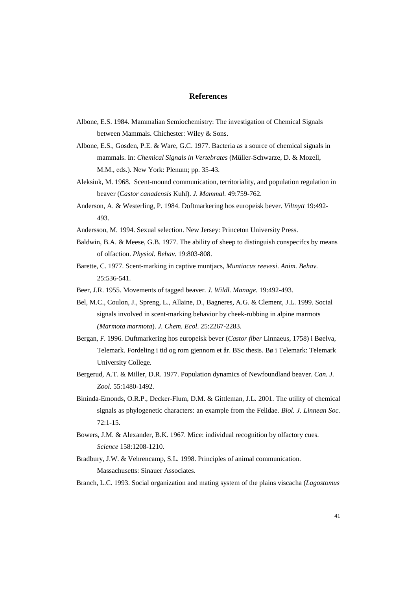## **References**

- Albone, E.S. 1984. Mammalian Semiochemistry: The investigation of Chemical Signals between Mammals. Chichester: Wiley & Sons.
- Albone, E.S., Gosden, P.E. & Ware, G.C. 1977. Bacteria as a source of chemical signals in mammals. In: *Chemical Signals in Vertebrates* (Müller-Schwarze, D. & Mozell, M.M., eds.). New York: Plenum; pp. 35-43.
- Aleksiuk, M. 1968. Scent-mound communication, territoriality, and population regulation in beaver (*Castor canadensis* Kuhl). *J. Mammal.* 49:759-762.
- Anderson, A. & Westerling, P. 1984. Doftmarkering hos europeisk bever. *Viltnytt* 19:492- 493.
- Andersson, M. 1994. Sexual selection. New Jersey: Princeton University Press.
- Baldwin, B.A. & Meese, G.B. 1977. The ability of sheep to distinguish conspecifcs by means of olfaction. *Physiol. Behav*. 19:803-808.
- Barette, C. 1977. Scent-marking in captive muntjacs, *Muntiacus reevesi*. *Anim. Behav.* 25:536-541.
- Beer, J.R. 1955. Movements of tagged beaver. *J. Wildl. Manage.* 19:492-493.
- Bel, M.C., Coulon, J., Spreng, L., Allaine, D., Bagneres, A.G. & Clement, J.L. 1999. Social signals involved in scent-marking behavior by cheek-rubbing in alpine marmots *(Marmota marmota*). *J. Chem. Ecol*. 25:2267-2283.
- Bergan, F. 1996. Duftmarkering hos europeisk bever (*Castor fiber* Linnaeus, 1758) i Bøelva, Telemark. Fordeling i tid og rom gjennom et år. BSc thesis. Bø i Telemark: Telemark University College.
- Bergerud, A.T. & Miller, D.R. 1977. Population dynamics of Newfoundland beaver. *Can. J. Zool.* 55:1480-1492.
- Bininda-Emonds, O.R.P., Decker-Flum, D.M. & Gittleman, J.L. 2001. The utility of chemical signals as phylogenetic characters: an example from the Felidae. *Biol. J. Linnean Soc.* 72:1-15.
- Bowers, J.M. & Alexander, B.K. 1967. Mice: individual recognition by olfactory cues. *Science* 158:1208-1210.
- Bradbury, J.W. & Vehrencamp, S.L. 1998. Principles of animal communication. Massachusetts: Sinauer Associates.

Branch, L.C. 1993. Social organization and mating system of the plains viscacha (*Lagostomus*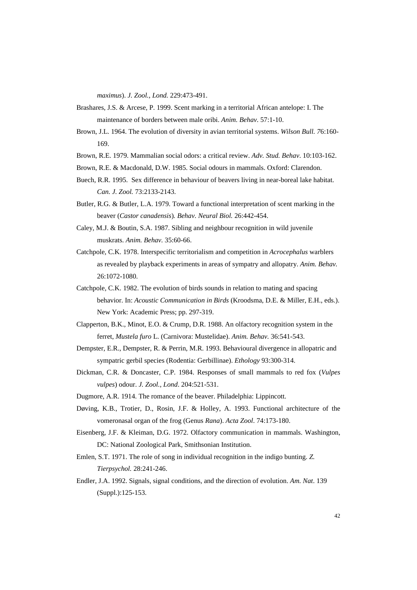*maximus*). *J. Zool., Lond.* 229:473-491.

- Brashares, J.S. & Arcese, P. 1999. Scent marking in a territorial African antelope: I. The maintenance of borders between male oribi. *Anim. Behav*. 57:1-10.
- Brown, J.L. 1964. The evolution of diversity in avian territorial systems. *Wilson Bull. 7*6:160- 169.
- Brown, R.E. 1979. Mammalian social odors: a critical review. *Adv. Stud. Behav*. 10:103-162.
- Brown, R.E. & Macdonald, D.W. 1985. Social odours in mammals. Oxford: Clarendon.
- Buech, R.R. 1995. Sex difference in behaviour of beavers living in near-boreal lake habitat. *Can. J. Zool.* 73:2133-2143.
- Butler, R.G. & Butler, L.A. 1979. Toward a functional interpretation of scent marking in the beaver (*Castor canadensis*)*. Behav. Neural Biol.* 26:442-454.
- Caley, M.J. & Boutin, S.A. 1987. Sibling and neighbour recognition in wild juvenile muskrats. *Anim. Behav.* 35:60-66.
- Catchpole, C.K. 1978. Interspecific territorialism and competition in *Acrocephalus* warblers as revealed by playback experiments in areas of sympatry and allopatry. *Anim. Behav.* 26:1072-1080.
- Catchpole, C.K. 1982. The evolution of birds sounds in relation to mating and spacing behavior. In: *Acoustic Communication in Birds* (Kroodsma, D.E. & Miller, E.H., eds.). New York: Academic Press; pp. 297-319.
- Clapperton, B.K., Minot, E.O. & Crump, D.R. 1988. An olfactory recognition system in the ferret, *Mustela furo* L. (Carnivora: Mustelidae). *Anim. Behav.* 36:541-543.
- Dempster, E.R., Dempster, R. & Perrin, M.R. 1993. Behavioural divergence in allopatric and sympatric gerbil species (Rodentia: Gerbillinae). *Ethology* 93:300-314.
- Dickman, C.R. & Doncaster, C.P. 1984. Responses of small mammals to red fox (*Vulpes vulpes*) odour. *J. Zool., Lond*. 204:521-531.
- Dugmore, A.R. 1914. The romance of the beaver. Philadelphia: Lippincott.
- Døving, K.B., Trotier, D., Rosin, J.F. & Holley, A. 1993. Functional architecture of the vomeronasal organ of the frog (Genus *Rana*). *Acta Zool*. 74:173-180.
- Eisenberg, J.F. & Kleiman, D.G. 1972. Olfactory communication in mammals. Washington, DC: National Zoological Park, Smithsonian Institution.
- Emlen, S.T. 1971. The role of song in individual recognition in the indigo bunting. *Z. Tierpsychol.* 28:241-246.
- Endler, J.A. 1992. Signals, signal conditions, and the direction of evolution. *Am. Nat*. 139 (Suppl.):125-153.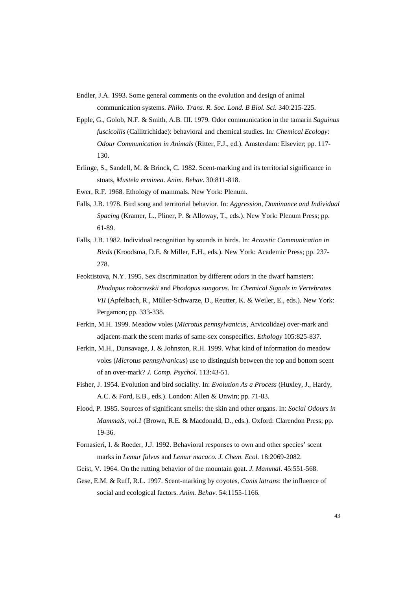Endler, J.A. 1993. Some general comments on the evolution and design of animal

communication systems. *Philo. Trans. R. Soc. Lond. B Biol. Sci.* 340:215-225.

- Epple, G., Golob, N.F. & Smith, A.B. III. 1979. Odor communication in the tamarin *Saguinus fuscicollis* (Callitrichidae): behavioral and chemical studies. In*: Chemical Ecology*: *Odour Communication in Animals* (Ritter, F.J., ed.). Amsterdam: Elsevier; pp. 117- 130.
- Erlinge, S., Sandell, M. & Brinck, C. 1982. Scent-marking and its territorial significance in stoats, *Mustela erminea*. *Anim. Behav*. 30:811-818.
- Ewer, R.F. 1968. Ethology of mammals. New York: Plenum.
- Falls, J.B. 1978. Bird song and territorial behavior. In: *Aggression, Dominance and Individual Spacing* (Kramer, L., Pliner, P. & Alloway, T., eds.). New York: Plenum Press; pp. 61-89.
- Falls, J.B. 1982. Individual recognition by sounds in birds. In: *Acoustic Communication in Birds* (Kroodsma, D.E. & Miller, E.H., eds.). New York: Academic Press; pp. 237- 278.
- Feoktistova, N.Y. 1995. Sex discrimination by different odors in the dwarf hamsters: *Phodopus roborovskii* and *Phodopus sungorus*. In: *Chemical Signals in Vertebrates VII* (Apfelbach, R., Müller-Schwarze, D., Reutter, K. & Weiler, E., eds.). New York: Pergamon; pp. 333-338.
- Ferkin, M.H. 1999. Meadow voles (*Microtus pennsylvanicus*, Arvicolidae) over-mark and adjacent-mark the scent marks of same-sex conspecifics. *Ethology* 105:825-837.
- Ferkin, M.H., Dunsavage, J. & Johnston, R.H. 1999. What kind of information do meadow voles (*Microtus pennsylvanicus*) use to distinguish between the top and bottom scent of an over-mark? *J. Comp. Psychol*. 113:43-51.
- Fisher, J. 1954. Evolution and bird sociality. In: *Evolution As a Process* (Huxley, J., Hardy, A.C. & Ford, E.B., eds.). London: Allen & Unwin; pp. 71-83.
- Flood, P. 1985. Sources of significant smells: the skin and other organs. In: *Social Odours in Mammals, vol.1* (Brown, R.E. & Macdonald, D., eds.). Oxford: Clarendon Press; pp. 19-36.
- Fornasieri, I. & Roeder, J.J. 1992. Behavioral responses to own and other species' scent marks in *Lemur fulvus* and *Lemur macaco. J. Chem. Ecol.* 18:2069-2082.
- Geist, V. 1964. On the rutting behavior of the mountain goat. *J. Mammal*. 45:551-568.
- Gese, E.M. & Ruff, R.L. 1997. Scent-marking by coyotes, *Canis latrans*: the influence of social and ecological factors. *Anim. Behav*. 54:1155-1166.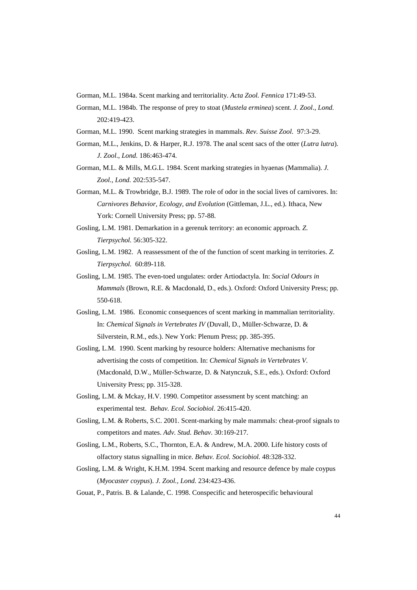- Gorman, M.L. 1984a. Scent marking and territoriality. *Acta Zool. Fennica* 171:49-53.
- Gorman, M.L. 1984b. The response of prey to stoat (*Mustela erminea*) scent. *J. Zool*., *Lond.* 202:419-423.
- Gorman, M.L. 1990. Scent marking strategies in mammals. *Rev. Suisse Zool*. 97:3-29.
- Gorman, M.L., Jenkins, D. & Harper, R.J. 1978. The anal scent sacs of the otter (*Lutra lutra*). *J. Zool*., *Lond.* 186:463-474.
- Gorman, M.L. & Mills, M.G.L. 1984. Scent marking strategies in hyaenas (Mammalia). *J. Zool., Lond.* 202:535-547.
- Gorman, M.L. & Trowbridge, B.J. 1989. The role of odor in the social lives of carnivores. In: *Carnivores Behavior, Ecology, and Evolution* (Gittleman, J.L., ed.). Ithaca, New York: Cornell University Press; pp. 57-88.
- Gosling, L.M. 1981. Demarkation in a gerenuk territory: an economic approach*. Z. Tierpsychol.* 56:305-322.
- Gosling, L.M. 1982. A reassessment of the of the function of scent marking in territories. *Z. Tierpsychol.* 60:89-118.
- Gosling, L.M. 1985. The even-toed ungulates: order Artiodactyla. In: *Social Odours in Mammals* (Brown, R.E. & Macdonald, D., eds.). Oxford: Oxford University Press; pp. 550-618.
- Gosling, L.M. 1986. Economic consequences of scent marking in mammalian territoriality. In: *Chemical Signals in Vertebrates IV* (Duvall, D., Müller-Schwarze, D. & Silverstein, R.M., eds.). New York: Plenum Press; pp. 385-395.
- Gosling, L.M. 1990. Scent marking by resource holders: Alternative mechanisms for advertising the costs of competition. In: *Chemical Signals in Vertebrates V.* (Macdonald, D.W., Müller-Schwarze, D. & Natynczuk, S.E., eds.). Oxford: Oxford University Press; pp. 315-328.
- Gosling, L.M. & Mckay, H.V. 1990. Competitor assessment by scent matching: an experimental test. *Behav. Ecol. Sociobiol*. 26:415-420.
- Gosling, L.M. & Roberts, S.C. 2001. Scent-marking by male mammals: cheat-proof signals to competitors and mates. *Adv. Stud. Behav*. 30:169-217.
- Gosling, L.M., Roberts, S.C., Thornton, E.A. & Andrew, M.A. 2000. Life history costs of olfactory status signalling in mice. *Behav. Ecol. Sociobiol.* 48:328-332.
- Gosling, L.M. & Wright, K.H.M. 1994. Scent marking and resource defence by male coypus (*Myocaster coypus*). *J. Zool., Lond.* 234:423-436.
- Gouat, P., Patris. B. & Lalande, C. 1998. Conspecific and heterospecific behavioural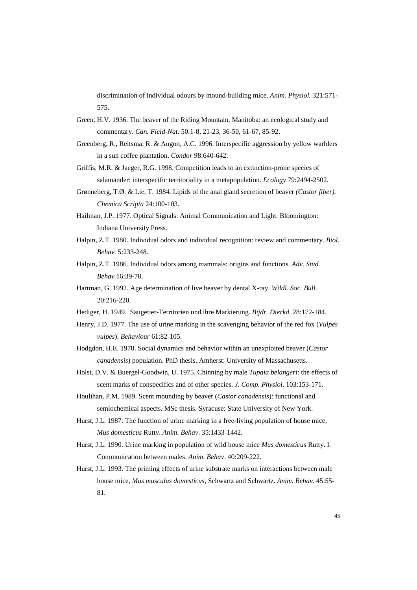discrimination of individual odours by mound-building mice. *Anim. Physiol.* 321:571- 575.

- Green, H.V. 1936. The beaver of the Riding Mountain, Manitoba: an ecological study and commentary. *Can. Field-Nat.* 50:1-8, 21-23, 36-50, 61-67, 85-92.
- Greenberg, R., Reitsma, R. & Angon, A.C. 1996. Interspecific aggression by yellow warblers in a sun coffee plantation. *Condor* 98:640-642.
- Griffis, M.R. & Jaeger, R.G. 1998. Competition leads to an extinction-prone species of salamander: interspecific territoriality in a metapopulation. *Ecology* 79:2494-2502.
- Grønneberg, T.Ø. & Lie, T. 1984. Lipids of the anal gland secretion of beaver *(Castor fiber). Chemica Scripta* 24:100-103.
- Hailman, J.P. 1977. Optical Signals: Animal Communication and Light. Bloomington: Indiana University Press.
- Halpin, Z.T. 1980. Individual odors and individual recognition: review and commentary. *Biol. Behav.* 5:233-248.
- Halpin, Z.T. 1986. Individual odors among mammals: origins and functions. *Adv. Stud. Behav.*16:39-70.
- Hartman, G. 1992. Age determination of live beaver by dental X-ray. *Wildl. Soc. Bull*. 20:216-220.
- Hediger, H. 1949. Säugetier-Territorien und ihre Markierung. *Bijdr. Dierkd*. 28:172-184.
- Henry, J.D. 1977. The use of urine marking in the scavenging behavior of the red fox (*Vulpes vulpes*). *Behaviour* 61:82-105.
- Hodgdon, H.E. 1978. Social dynamics and behavior within an unexploited beaver (*Castor canadensis*) population. PhD thesis. Amherst: University of Massachusetts.
- Holst, D.V. & Buergel-Goodwin, U. 1975. Chinning by male *Tupaia belangeri*: the effects of scent marks of conspecifics and of other species. *J. Comp. Physiol*. 103:153-171.
- Houlihan, P.M. 1989. Scent mounding by beaver (*Castor canadensis*): functional and semiochemical aspects. MSc thesis. Syracuse: State University of New York.
- Hurst, J.L. 1987. The function of urine marking in a free-living population of house mice, *Mus domesticus* Rutty. *Anim. Behav*. 35:1433-1442.
- Hurst, J.L. 1990. Urine marking in population of wild house mice *Mus domesticus* Rutty. I. Communication between males. *Anim. Behav*. 40:209-222.
- Hurst, J.L. 1993. The priming effects of urine substrate marks on interactions between male house mice, *Mus musculus domesticus*, Schwartz and Schwartz. *Anim. Behav*. 45:55- 81.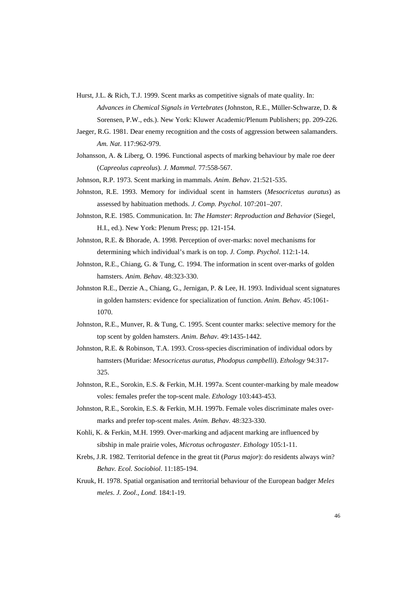- Hurst, J.L. & Rich, T.J. 1999. Scent marks as competitive signals of mate quality. In: *Advances in Chemical Signals in Vertebrates* (Johnston, R.E., Müller-Schwarze, D. & Sorensen, P.W., eds.). New York: Kluwer Academic/Plenum Publishers; pp. 209-226.
- Jaeger, R.G. 1981. Dear enemy recognition and the costs of aggression between salamanders. *Am. Nat*. 117:962-979.
- Johansson, A. & Liberg, O. 1996. Functional aspects of marking behaviour by male roe deer (*Capreolus capreolus*). *J. Mammal.* 77:558-567.
- Johnson, R.P. 1973. Scent marking in mammals. *Anim*. *Behav*. 21:521-535.
- Johnston, R.E. 1993. Memory for individual scent in hamsters (*Mesocricetus auratus*) as assessed by habituation methods. *J. Comp. Psychol*. 107:201–207.
- Johnston, R.E. 1985. Communication. In: *The Hamster*: *Reproduction and Behavior* (Siegel, H.I., ed.). New York: Plenum Press; pp. 121-154.
- Johnston, R.E. & Bhorade, A. 1998. Perception of over-marks: novel mechanisms for determining which individual's mark is on top. *J. Comp. Psychol*. 112:1-14.
- Johnston, R.E., Chiang, G. & Tung, C. 1994. The information in scent over-marks of golden hamsters. *Anim. Behav*. 48:323-330.
- Johnston R.E., Derzie A., Chiang, G., Jernigan, P. & Lee, H. 1993. Individual scent signatures in golden hamsters: evidence for specialization of function. *Anim. Behav.* 45:1061- 1070.
- Johnston, R.E., Munver, R. & Tung, C. 1995. Scent counter marks: selective memory for the top scent by golden hamsters. *Anim. Behav.* 49:1435-1442.
- Johnston, R.E. & Robinson, T.A. 1993. Cross-species discrimination of individual odors by hamsters (Muridae: *Mesocricetus auratus*, *Phodopus campbelli*). *Ethology* 94:317- 325.
- Johnston, R.E., Sorokin, E.S. & Ferkin, M.H. 1997a. Scent counter-marking by male meadow voles: females prefer the top-scent male. *Ethology* 103:443-453.
- Johnston, R.E., Sorokin, E.S. & Ferkin, M.H. 1997b. Female voles discriminate males overmarks and prefer top-scent males. *Anim. Behav*. 48:323-330.
- Kohli, K. & Ferkin, M.H. 1999. Over-marking and adjacent marking are influenced by sibship in male prairie voles, *Microtus ochrogaster*. *Ethology* 105:1-11.
- Krebs, J.R. 1982. Territorial defence in the great tit (*Parus major*): do residents always win? *Behav. Ecol. Sociobiol*. 11:185-194.
- Kruuk, H. 1978. Spatial organisation and territorial behaviour of the European badger *Meles meles*. *J. Zool*., *Lond.* 184:1-19.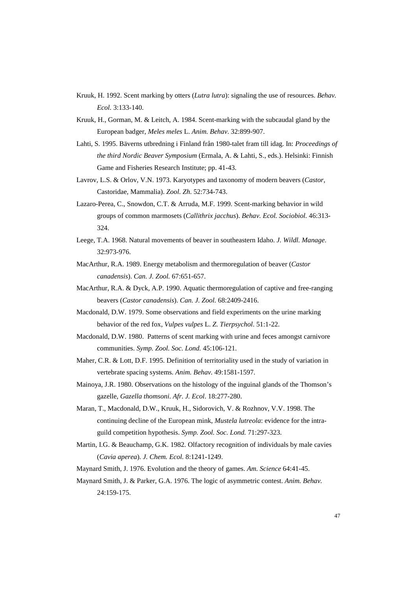- Kruuk, H. 1992. Scent marking by otters (*Lutra lutra*): signaling the use of resources. *Behav. Ecol.* 3:133-140.
- Kruuk, H., Gorman, M. & Leitch, A. 1984. Scent-marking with the subcaudal gland by the European badger, *Meles meles* L. *Anim. Behav*. 32:899-907.
- Lahti, S. 1995. Bäverns utbredning i Finland från 1980-talet fram till idag. In: *Proceedings of the third Nordic Beaver Symposium* (Ermala, A. & Lahti, S., eds.). Helsinki: Finnish Game and Fisheries Research Institute; pp. 41-43.
- Lavrov, L.S. & Orlov, V.N. 1973. Karyotypes and taxonomy of modern beavers (*Castor*, Castoridae, Mammalia). *Zool. Zh*. 52:734-743.
- Lazaro-Perea, C., Snowdon, C.T. & Arruda, M.F. 1999. Scent-marking behavior in wild groups of common marmosets (*Callithrix jacchus*). *Behav. Ecol. Sociobiol.* 46:313- 324.
- Leege, T.A. 1968. Natural movements of beaver in southeastern Idaho. *J. Wildl. Manage*. 32:973-976.
- MacArthur, R.A. 1989. Energy metabolism and thermoregulation of beaver (*Castor canadensis*). *Can. J. Zool.* 67:651-657.
- MacArthur, R.A. & Dyck, A.P. 1990. Aquatic thermoregulation of captive and free-ranging beavers (*Castor canadensis*). *Can. J. Zool.* 68:2409-2416.
- Macdonald, D.W. 1979. Some observations and field experiments on the urine marking behavior of the red fox, *Vulpes vulpes* L. *Z. Tierpsychol*. 51:1-22.
- Macdonald, D.W. 1980. Patterns of scent marking with urine and feces amongst carnivore communities. *Symp. Zool. Soc. Lond.* 45:106-121.
- Maher, C.R. & Lott, D.F. 1995. Definition of territoriality used in the study of variation in vertebrate spacing systems. *Anim. Behav.* 49:1581-1597.
- Mainoya, J.R. 1980. Observations on the histology of the inguinal glands of the Thomson's gazelle, *Gazella thomsoni*. *Afr. J. Ecol*. 18:277-280.
- Maran, T., Macdonald, D.W., Kruuk, H., Sidorovich, V. & Rozhnov, V.V. 1998. The continuing decline of the European mink, *Mustela lutreola*: evidence for the intraguild competition hypothesis. *Symp. Zool. Soc. Lond.* 71:297-323.
- Martin, I.G. & Beauchamp, G.K. 1982. Olfactory recognition of individuals by male cavies (*Cavia aperea*). *J. Chem. Ecol.* 8:1241-1249.
- Maynard Smith, J. 1976. Evolution and the theory of games. *Am. Science* 64:41-45.
- Maynard Smith, J. & Parker, G.A. 1976. The logic of asymmetric contest. *Anim. Behav.* 24:159-175.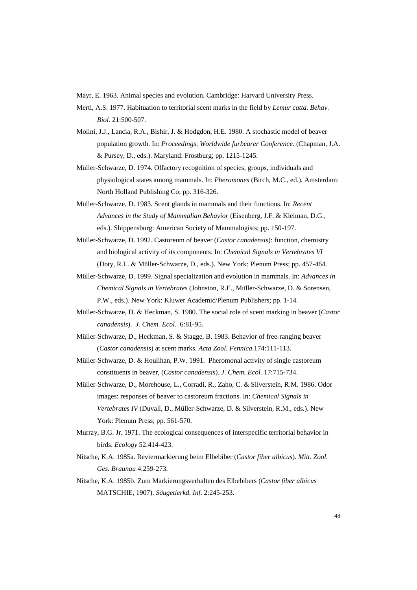Mayr, E. 1963. Animal species and evolution. Cambridge: Harvard University Press.

- Mertl, A.S. 1977. Habituation to territorial scent marks in the field by *Lemur catta*. *Behav. Biol.* 21:500-507.
- Molini, J.J., Lancia, R.A., Bishir, J. & Hodgdon, H.E. 1980. A stochastic model of beaver population growth. In: *Proceedings, Worldwide furbearer Conference.* (Chapman, J.A. & Pursey, D., eds.). Maryland: Frostburg; pp. 1215-1245.
- Müller-Schwarze, D. 1974. Olfactory recognition of species, groups, individuals and physiological states among mammals. In: *Pheromones* (Birch, M.C., ed.). Amsterdam: North Holland Publishing Co; pp. 316-326.
- Müller-Schwarze, D. 1983. Scent glands in mammals and their functions. In: *Recent Advances in the Study of Mammalian Behavior* (Eisenberg, J.F. & Kleiman, D.G., eds.). Shippensburg: American Society of Mammalogists; pp. 150-197.
- Müller-Schwarze, D. 1992. Castoreum of beaver (*Castor canadensis*): function, chemistry and biological activity of its components. In: *Chemical Signals in Vertebrates VI* (Doty, R.L. & Müller-Schwarze, D., eds.). New York: Plenum Press; pp. 457-464.
- Müller-Schwarze, D. 1999. Signal specialization and evolution in mammals. In: *Advances in Chemical Signals in Vertebrates* (Johnston, R.E., Müller-Schwarze, D. & Sorensen, P.W., eds.). New York: Kluwer Academic/Plenum Publishers; pp. 1-14.
- Müller-Schwarze, D. & Heckman, S. 1980. The social role of scent marking in beaver (*Castor canadensis*). *J. Chem. Ecol.* 6:81-95.
- Müller-Schwarze, D., Heckman, S. & Stagge, B. 1983. Behavior of free-ranging beaver (*Castor canadensis*) at scent marks. *Acta Zool. Fennica* 174:111-113.
- Müller-Schwarze, D. & Houlihan, P.W. 1991. Pheromonal activity of single castoreum constituents in beaver, (*Castor canadensis*)*. J. Chem. Ecol.* 17:715-734.
- Müller-Schwarze, D., Morehouse, L., Corradi, R., Zaho, C. & Silverstein, R.M. 1986. Odor images: responses of beaver to castoreum fractions. In: *Chemical Signals in Vertebrates IV* (Duvall, D., Müller-Schwarze, D. & Silverstein, R.M., eds.). New York: Plenum Press; pp. 561-570.
- Murray, B.G. Jr. 1971. The ecological consequences of interspecific territorial behavior in birds. *Ecology* 52:414-423.
- Nitsche, K.A. 1985a. Reviermarkierung beim Elbebiber (*Castor fiber albicus*). *Mitt. Zool. Ges. Braunau* 4:259-273.
- Nitsche, K.A. 1985b. Zum Markierungsverhalten des Elbebibers (*Castor fiber albicus* MATSCHIE, 1907). *Säugetierkd. Inf*. 2:245-253.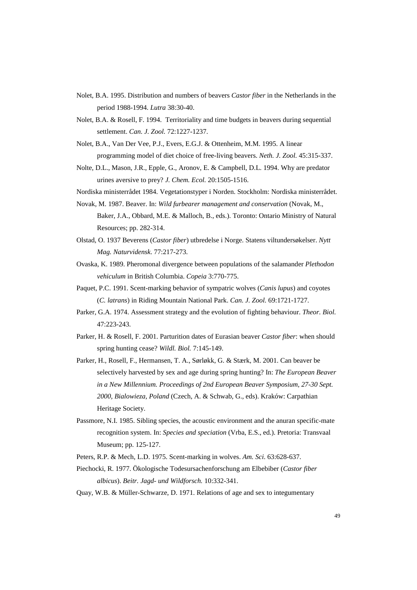- Nolet, B.A. 1995. Distribution and numbers of beavers *Castor fiber* in the Netherlands in the period 1988-1994. *Lutra* 38:30-40.
- Nolet, B.A. & Rosell, F. 1994. Territoriality and time budgets in beavers during sequential settlement. *Can. J. Zool.* 72:1227-1237.
- Nolet, B.A., Van Der Vee, P.J., Evers, E.G.J. & Ottenheim, M.M. 1995. A linear programming model of diet choice of free-living beavers. *Neth. J. Zool.* 45:315-337.
- Nolte, D.L., Mason, J.R., Epple, G., Aronov, E. & Campbell, D.L. 1994. Why are predator urines aversive to prey? *J. Chem. Ecol.* 20:1505-1516.
- Nordiska ministerrådet 1984. Vegetationstyper i Norden. Stockholm: Nordiska ministerrådet.
- Novak, M. 1987. Beaver. In: *Wild furbearer management and conservation* (Novak, M., Baker, J.A., Obbard, M.E. & Malloch, B., eds.). Toronto: Ontario Ministry of Natural Resources; pp. 282-314.
- Olstad, O. 1937 Beverens (*Castor fiber*) utbredelse i Norge. Statens viltundersøkelser. *Nytt Mag. Naturvidensk*. 77:217-273.
- Ovaska, K. 1989. Pheromonal divergence between populations of the salamander *Plethodon vehiculum* in British Columbia. *Copeia* 3:770-775.
- Paquet, P.C. 1991. Scent-marking behavior of sympatric wolves (*Canis lupus*) and coyotes (*C. latrans*) in Riding Mountain National Park. *Can. J. Zool.* 69:1721-1727.
- Parker, G.A. 1974. Assessment strategy and the evolution of fighting behaviour. *Theor. Biol.* 47:223-243.
- Parker, H. & Rosell, F. 2001. Parturition dates of Eurasian beaver *Castor fiber*: when should spring hunting cease? *Wildl. Biol.* 7:145-149.
- Parker, H., Rosell, F., Hermansen, T. A., Sørløkk, G. & Stærk, M. 2001. Can beaver be selectively harvested by sex and age during spring hunting? In: *The European Beaver in a New Millennium. Proceedings of 2nd European Beaver Symposium, 27-30 Sept. 2000, Bialowieza, Poland* (Czech, A. & Schwab, G., eds). Kraków: Carpathian Heritage Society.
- Passmore, N.I. 1985. Sibling species, the acoustic environment and the anuran specific-mate recognition system. In: *Species and speciation* (Vrba, E.S., ed.). Pretoria: Transvaal Museum; pp. 125-127.
- Peters, R.P. & Mech, L.D. 1975. Scent-marking in wolves. *Am. Sci*. 63:628-637.
- Piechocki, R. 1977. Ökologische Todesursachenforschung am Elbebiber (*Castor fiber albicus*). *Beitr. Jagd- und Wildforsch.* 10:332-341.
- Quay, W.B. & Müller-Schwarze, D. 1971. Relations of age and sex to integumentary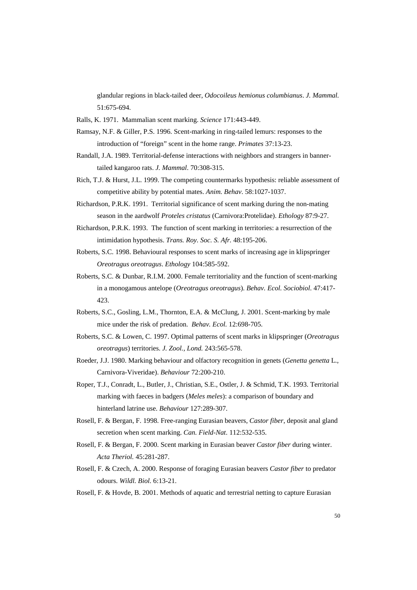glandular regions in black-tailed deer, *Odocoileus hemionus columbianus*. *J. Mammal.* 51:675-694.

- Ralls, K. 1971. Mammalian scent marking. *Science* 171:443-449.
- Ramsay, N.F. & Giller, P.S. 1996. Scent-marking in ring-tailed lemurs: responses to the introduction of "foreign" scent in the home range. *Primates* 37:13-23.
- Randall, J.A. 1989. Territorial-defense interactions with neighbors and strangers in bannertailed kangaroo rats. *J. Mammal*. 70:308-315.
- Rich, T.J. & Hurst, J.L. 1999. The competing countermarks hypothesis: reliable assessment of competitive ability by potential mates. *Anim. Behav*. 58:1027-1037.
- Richardson, P.R.K. 1991. Territorial significance of scent marking during the non-mating season in the aardwolf *Proteles cristatus* (Carnivora:Protelidae). *Ethology* 87:9-27.
- Richardson, P.R.K. 1993. The function of scent marking in territories: a resurrection of the intimidation hypothesis. *Trans. Roy. Soc. S. Afr.* 48:195-206.
- Roberts, S.C. 1998. Behavioural responses to scent marks of increasing age in klipspringer *Oreotragus oreotragus*. *Ethology* 104:585-592.
- Roberts, S.C. & Dunbar, R.I.M. 2000. Female territoriality and the function of scent-marking in a monogamous antelope (*Oreotragus oreotragus*). *Behav. Ecol. Sociobiol*. 47:417- 423.
- Roberts, S.C., Gosling, L.M., Thornton, E.A. & McClung, J. 2001. Scent-marking by male mice under the risk of predation. *Behav. Ecol.* 12:698-705.
- Roberts, S.C. & Lowen, C. 1997. Optimal patterns of scent marks in klipspringer (*Oreotragus oreotragus*) territories. *J. Zool., Lond.* 243:565-578.
- Roeder, J.J. 1980. Marking behaviour and olfactory recognition in genets (*Genetta genetta* L., Carnivora-Viveridae). *Behaviour* 72:200-210.
- Roper, T.J., Conradt, L., Butler, J., Christian, S.E., Ostler, J. & Schmid, T.K. 1993. Territorial marking with faeces in badgers (*Meles meles*): a comparison of boundary and hinterland latrine use. *Behaviour* 127:289-307.
- Rosell, F. & Bergan, F. 1998. Free-ranging Eurasian beavers, *Castor fiber*, deposit anal gland secretion when scent marking. *Can. Field-Nat*. 112:532-535.
- Rosell, F. & Bergan, F. 2000. Scent marking in Eurasian beaver *Castor fiber* during winter. *Acta Theriol.* 45:281-287.
- Rosell, F. & Czech, A. 2000. Response of foraging Eurasian beavers *Castor fiber* to predator odours. *Wildl. Biol.* 6:13-21.
- Rosell, F. & Hovde, B. 2001. Methods of aquatic and terrestrial netting to capture Eurasian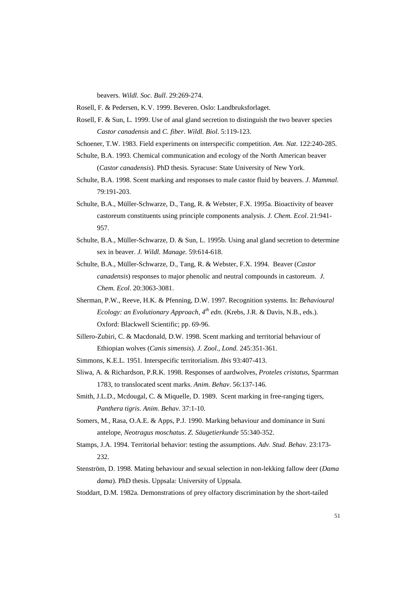beavers. *Wildl. Soc. Bull*. 29:269-274.

Rosell, F. & Pedersen, K.V. 1999. Beveren. Oslo: Landbruksforlaget.

- Rosell, F. & Sun, L. 1999. Use of anal gland secretion to distinguish the two beaver species *Castor canadensis* and *C. fiber*. *Wildl. Biol*. 5:119-123.
- Schoener, T.W. 1983. Field experiments on interspecific competition. *Am. Nat*. 122:240-285.
- Schulte, B.A. 1993. Chemical communication and ecology of the North American beaver (*Castor canadensis*). PhD thesis. Syracuse: State University of New York.
- Schulte, B.A. 1998. Scent marking and responses to male castor fluid by beavers. *J. Mammal*. 79:191-203.
- Schulte, B.A., Müller-Schwarze, D., Tang, R. & Webster, F.X. 1995a. Bioactivity of beaver castoreum constituents using principle components analysis. *J. Chem. Ecol*. 21:941- 957.
- Schulte, B.A., Müller-Schwarze, D. & Sun, L. 1995b. Using anal gland secretion to determine sex in beaver. *J. Wildl. Manage.* 59:614-618.
- Schulte, B.A., Müller-Schwarze, D., Tang, R. & Webster, F.X. 1994. Beaver (*Castor canadensis*) responses to major phenolic and neutral compounds in castoreum. *J. Chem. Ecol*. 20:3063-3081.
- Sherman, P.W., Reeve, H.K. & Pfenning, D.W. 1997. Recognition systems. In: *Behavioural Ecology: an Evolutionary Approach, 4th edn*. (Krebs, J.R. & Davis, N.B., eds.). Oxford: Blackwell Scientific; pp. 69-96.
- Sillero-Zubiri, C. & Macdonald, D.W. 1998. Scent marking and territorial behaviour of Ethiopian wolves (*Canis simensis*). *J. Zool., Lond.* 245:351-361.
- Simmons, K.E.L. 1951. Interspecific territorialism. *Ibis* 93:407-413.
- Sliwa, A. & Richardson, P.R.K. 1998. Responses of aardwolves, *Proteles cristatus*, Sparrman 1783, to translocated scent marks. *Anim. Behav*. 56:137-146.
- Smith, J.L.D., Mcdougal, C. & Miquelle, D. 1989. Scent marking in free-ranging tigers, *Panthera tigris*. *Anim. Behav*. 37:1-10.
- Somers, M., Rasa, O.A.E. & Apps, P.J. 1990. Marking behaviour and dominance in Suni antelope, *Neotragus moschatus*. *Z. Säugetierkunde* 55:340-352.
- Stamps, J.A. 1994. Territorial behavior: testing the assumptions. *Adv. Stud. Behav.* 23:173- 232.
- Stenström, D. 1998. Mating behaviour and sexual selection in non-lekking fallow deer (*Dama dama*). PhD thesis. Uppsala: University of Uppsala.
- Stoddart, D.M. 1982a. Demonstrations of prey olfactory discrimination by the short-tailed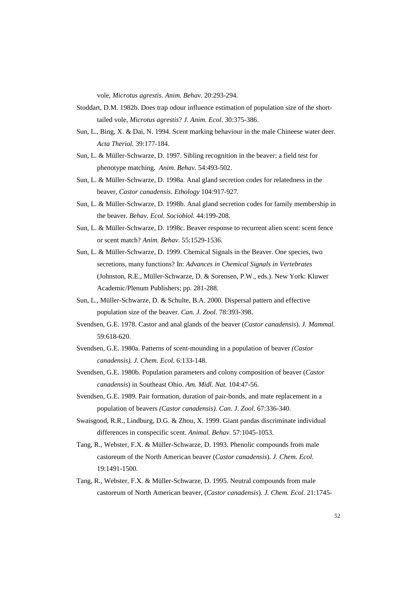vole, *Microtus agrestis*. *Anim. Behav*. 20:293-294.

- Stoddart, D.M. 1982b. Does trap odour influence estimation of population size of the shorttailed vole, *Microtus agrestis*? *J. Anim. Ecol*. 30:375-386.
- Sun, L., Bing, X. & Dai, N. 1994. Scent marking behaviour in the male Chineese water deer. *Acta Theriol.* 39:177-184.
- Sun, L. & Müller-Schwarze, D. 1997. Sibling recognition in the beaver: a field test for phenotype matching. *Anim. Behav.* 54:493-502.
- Sun, L. & Müller-Schwarze, D. 1998a. Anal gland secretion codes for relatedness in the beaver, *Castor canadensis*. *Ethology* 104:917-927.
- Sun, L. & Müller-Schwarze, D. 1998b. Anal gland secretion codes for family membership in the beaver. *Behav. Ecol. Sociobiol*. 44:199-208.
- Sun, L. & Müller-Schwarze, D. 1998c. Beaver response to recurrent alien scent: scent fence or scent match? *Anim. Behav.* 55:1529-1536.
- Sun, L. & Müller-Schwarze, D. 1999. Chemical Signals in the Beaver. One species, two secretions, many functions? In: *Advances in Chemical Signals in Vertebrates* (Johnston, R.E., Müller-Schwarze, D. & Sorensen, P.W., eds.). New York: Kluwer Academic/Plenum Publishers; pp. 281-288.
- Sun, L., Müller-Schwarze, D. & Schulte, B.A. 2000. Dispersal pattern and effective population size of the beaver. *Can. J. Zool.* 78:393-398.
- Svendsen, G.E. 1978. Castor and anal glands of the beaver (*Castor canadensis*). *J. Mammal.* 59:618-620.
- Svendsen, G.E. 1980a. Patterns of scent-mounding in a population of beaver *(Castor canadensis). J. Chem. Ecol.* 6:133-148.
- Svendsen, G.E. 1980b. Population parameters and colony composition of beaver (*Castor canadensis*) in Southeast Ohio. *Am. Midl. Nat.* 104:47-56.
- Svendsen, G.E. 1989. Pair formation, duration of pair-bonds, and mate replacement in a population of beavers *(Castor canadensis)*. *Can. J. Zool*. 67:336-340.
- Swaisgood, R.R., Lindburg, D.G. & Zhou, X. 1999. Giant pandas discriminate individual differences in conspecific scent. *Animal. Behav.* 57:1045-1053.
- Tang, R., Webster, F.X. & Müller-Schwarze, D. 1993. Phenolic compounds from male castoreum of the North American beaver (*Castor canadensis*). *J. Chem. Ecol.* 19:1491-1500.
- Tang, R., Webster, F.X. & Müller-Schwarze, D. 1995. Neutral compounds from male castoreum of North American beaver, (*Castor canadensis*). *J. Chem. Ecol.* 21:1745-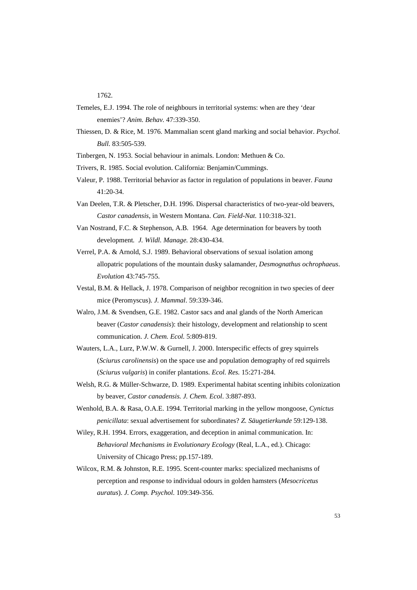1762.

- Temeles, E.J. 1994. The role of neighbours in territorial systems: when are they 'dear enemies'? *Anim. Behav.* 47:339-350.
- Thiessen, D. & Rice, M. 1976. Mammalian scent gland marking and social behavior. *Psychol. Bull.* 83:505-539.
- Tinbergen, N. 1953. Social behaviour in animals. London: Methuen & Co.
- Trivers, R. 1985. Social evolution. California: Benjamin/Cummings.
- Valeur, P. 1988. Territorial behavior as factor in regulation of populations in beaver. *Fauna* 41:20-34.
- Van Deelen, T.R. & Pletscher, D.H. 1996. Dispersal characteristics of two-year-old beavers, *Castor canadensis*, in Western Montana. *Can. Field-Nat.* 110:318-321.
- Van Nostrand, F.C. & Stephenson, A.B. 1964. Age determination for beavers by tooth development*. J. Wildl. Manage.* 28:430-434.
- Verrel, P.A. & Arnold, S.J. 1989. Behavioral observations of sexual isolation among allopatric populations of the mountain dusky salamander, *Desmognathus ochrophaeus*. *Evolution* 43:745-755.
- Vestal, B.M. & Hellack, J. 1978. Comparison of neighbor recognition in two species of deer mice (Peromyscus). *J. Mammal*. 59:339-346.
- Walro, J.M. & Svendsen, G.E. 1982. Castor sacs and anal glands of the North American beaver (*Castor canadensis*): their histology, development and relationship to scent communication. *J. Chem. Ecol.* 5:809-819.
- Wauters, L.A., Lurz, P.W.W. & Gurnell, J. 2000. Interspecific effects of grey squirrels (*Sciurus carolinensis*) on the space use and population demography of red squirrels (*Sciurus vulgaris*) in conifer plantations. *Ecol. Res.* 15:271-284.
- Welsh, R.G. & Müller-Schwarze, D. 1989. Experimental habitat scenting inhibits colonization by beaver, *Castor canadensis. J. Chem. Ecol*. 3:887-893.
- Wenhold, B.A. & Rasa, O.A.E. 1994. Territorial marking in the yellow mongoose, *Cynictus penicillata*: sexual advertisement for subordinates? *Z. Säugetierkunde* 59:129-138.
- Wiley, R.H. 1994. Errors, exaggeration, and deception in animal communication. In: *Behavioral Mechanisms in Evolutionary Ecology* (Real, L.A., ed.). Chicago: University of Chicago Press; pp.157-189.
- Wilcox, R.M. & Johnston, R.E. 1995. Scent-counter marks: specialized mechanisms of perception and response to individual odours in golden hamsters (*Mesocricetus auratus*). *J. Comp. Psychol*. 109:349-356.